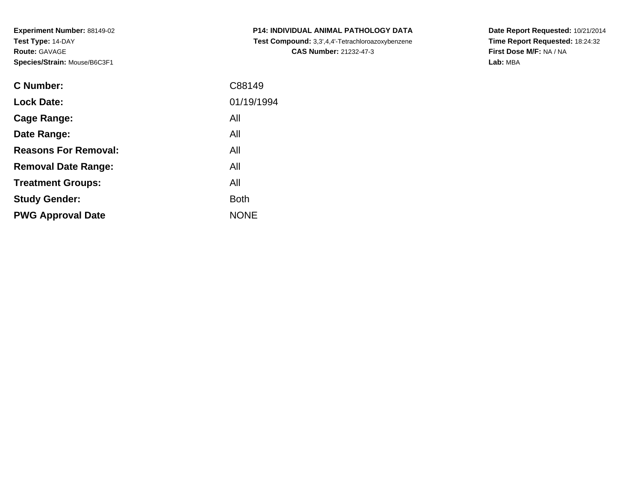**Experiment Number:** 88149-02**Test Type:** 14-DAY**Route:** GAVAGE**Species/Strain:** Mouse/B6C3F1

| <b>C Number:</b>            | C88149      |
|-----------------------------|-------------|
| <b>Lock Date:</b>           | 01/19/1994  |
| Cage Range:                 | All         |
| Date Range:                 | All         |
| <b>Reasons For Removal:</b> | All         |
| <b>Removal Date Range:</b>  | All         |
| <b>Treatment Groups:</b>    | All         |
| <b>Study Gender:</b>        | <b>Both</b> |
| <b>PWG Approval Date</b>    | <b>NONE</b> |
|                             |             |

**P14: INDIVIDUAL ANIMAL PATHOLOGY DATA Test Compound:** 3,3',4,4'-Tetrachloroazoxybenzene**CAS Number:** 21232-47-3

**Date Report Requested:** 10/21/2014 **Time Report Requested:** 18:24:32**First Dose M/F:** NA / NA**Lab:** MBA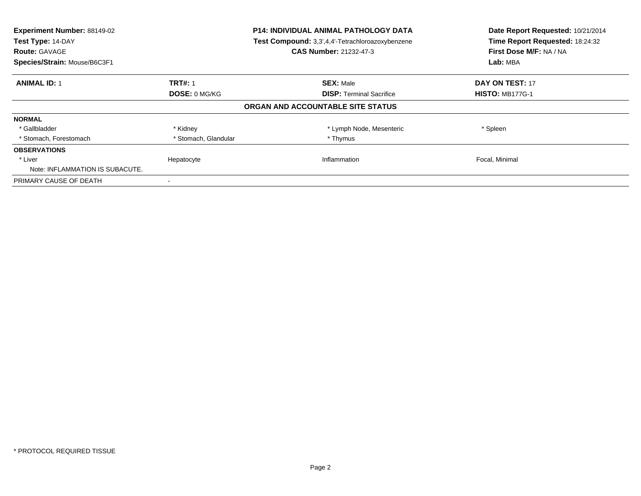| Experiment Number: 88149-02<br>Test Type: 14-DAY<br><b>Route: GAVAGE</b><br>Species/Strain: Mouse/B6C3F1 |                      | <b>P14: INDIVIDUAL ANIMAL PATHOLOGY DATA</b><br>Test Compound: 3,3',4,4'-Tetrachloroazoxybenzene<br><b>CAS Number: 21232-47-3</b> | Date Report Requested: 10/21/2014<br>Time Report Requested: 18:24:32<br>First Dose M/F: NA / NA<br>Lab: MBA |
|----------------------------------------------------------------------------------------------------------|----------------------|-----------------------------------------------------------------------------------------------------------------------------------|-------------------------------------------------------------------------------------------------------------|
| <b>ANIMAL ID: 1</b>                                                                                      | <b>TRT#: 1</b>       | <b>SEX: Male</b>                                                                                                                  | <b>DAY ON TEST: 17</b>                                                                                      |
|                                                                                                          | DOSE: 0 MG/KG        | <b>DISP:</b> Terminal Sacrifice                                                                                                   | <b>HISTO: MB177G-1</b>                                                                                      |
|                                                                                                          |                      | ORGAN AND ACCOUNTABLE SITE STATUS                                                                                                 |                                                                                                             |
| <b>NORMAL</b>                                                                                            |                      |                                                                                                                                   |                                                                                                             |
| * Gallbladder                                                                                            | * Kidney             | * Lymph Node, Mesenteric                                                                                                          | * Spleen                                                                                                    |
| * Stomach, Forestomach                                                                                   | * Stomach, Glandular | * Thymus                                                                                                                          |                                                                                                             |
| <b>OBSERVATIONS</b>                                                                                      |                      |                                                                                                                                   |                                                                                                             |
| * Liver<br>Note: INFLAMMATION IS SUBACUTE.                                                               | Hepatocyte           | Inflammation                                                                                                                      | Focal, Minimal                                                                                              |
| PRIMARY CAUSE OF DEATH                                                                                   |                      |                                                                                                                                   |                                                                                                             |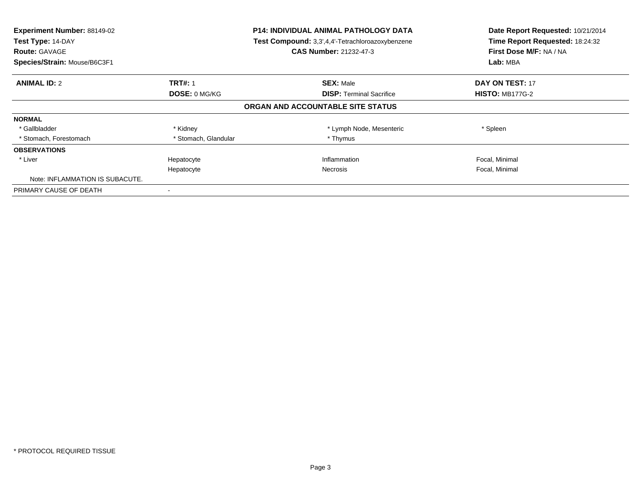| Experiment Number: 88149-02<br>Test Type: 14-DAY<br><b>Route: GAVAGE</b><br>Species/Strain: Mouse/B6C3F1 |                      | <b>P14: INDIVIDUAL ANIMAL PATHOLOGY DATA</b><br>Test Compound: 3,3',4,4'-Tetrachloroazoxybenzene<br><b>CAS Number: 21232-47-3</b> | Date Report Requested: 10/21/2014<br>Time Report Requested: 18:24:32<br>First Dose M/F: NA / NA<br>Lab: MBA |
|----------------------------------------------------------------------------------------------------------|----------------------|-----------------------------------------------------------------------------------------------------------------------------------|-------------------------------------------------------------------------------------------------------------|
| <b>ANIMAL ID: 2</b>                                                                                      | <b>TRT#: 1</b>       | <b>SEX: Male</b>                                                                                                                  | <b>DAY ON TEST: 17</b>                                                                                      |
|                                                                                                          | <b>DOSE: 0 MG/KG</b> | <b>DISP:</b> Terminal Sacrifice                                                                                                   | <b>HISTO: MB177G-2</b>                                                                                      |
|                                                                                                          |                      | ORGAN AND ACCOUNTABLE SITE STATUS                                                                                                 |                                                                                                             |
| <b>NORMAL</b>                                                                                            |                      |                                                                                                                                   |                                                                                                             |
| * Gallbladder                                                                                            | * Kidney             | * Lymph Node, Mesenteric                                                                                                          | * Spleen                                                                                                    |
| * Stomach, Forestomach                                                                                   | * Stomach, Glandular | * Thymus                                                                                                                          |                                                                                                             |
| <b>OBSERVATIONS</b>                                                                                      |                      |                                                                                                                                   |                                                                                                             |
| * Liver                                                                                                  | Hepatocyte           | Inflammation                                                                                                                      | Focal, Minimal                                                                                              |
|                                                                                                          | Hepatocyte           | Necrosis                                                                                                                          | Focal, Minimal                                                                                              |
| Note: INFLAMMATION IS SUBACUTE.                                                                          |                      |                                                                                                                                   |                                                                                                             |
| PRIMARY CAUSE OF DEATH                                                                                   |                      |                                                                                                                                   |                                                                                                             |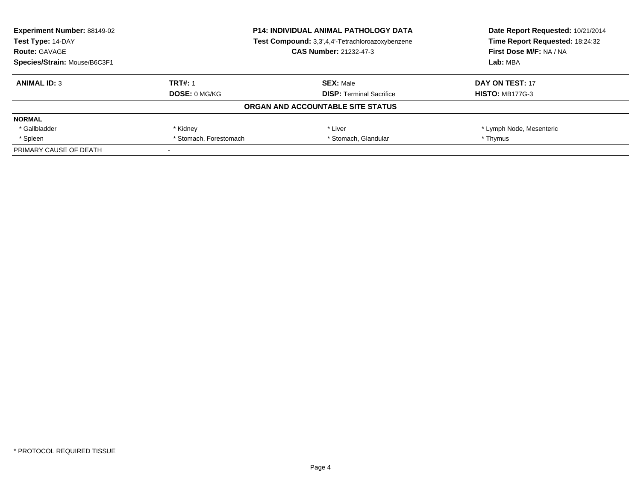| Experiment Number: 88149-02  |                                                  | <b>P14: INDIVIDUAL ANIMAL PATHOLOGY DATA</b> | Date Report Requested: 10/21/2014 |
|------------------------------|--------------------------------------------------|----------------------------------------------|-----------------------------------|
| Test Type: 14-DAY            | Test Compound: 3,3',4,4'-Tetrachloroazoxybenzene |                                              | Time Report Requested: 18:24:32   |
| <b>Route: GAVAGE</b>         |                                                  | <b>CAS Number: 21232-47-3</b>                | First Dose M/F: NA / NA           |
| Species/Strain: Mouse/B6C3F1 |                                                  |                                              | Lab: MBA                          |
| <b>ANIMAL ID: 3</b>          | <b>TRT#: 1</b>                                   | <b>SEX: Male</b>                             | DAY ON TEST: 17                   |
|                              | <b>DOSE: 0 MG/KG</b>                             | <b>DISP:</b> Terminal Sacrifice              | <b>HISTO: MB177G-3</b>            |
|                              |                                                  | ORGAN AND ACCOUNTABLE SITE STATUS            |                                   |
| <b>NORMAL</b>                |                                                  |                                              |                                   |
| * Gallbladder                | * Kidney                                         | * Liver                                      | * Lymph Node, Mesenteric          |
| * Spleen                     | * Stomach, Forestomach                           | * Stomach, Glandular                         | * Thymus                          |
| PRIMARY CAUSE OF DEATH       |                                                  |                                              |                                   |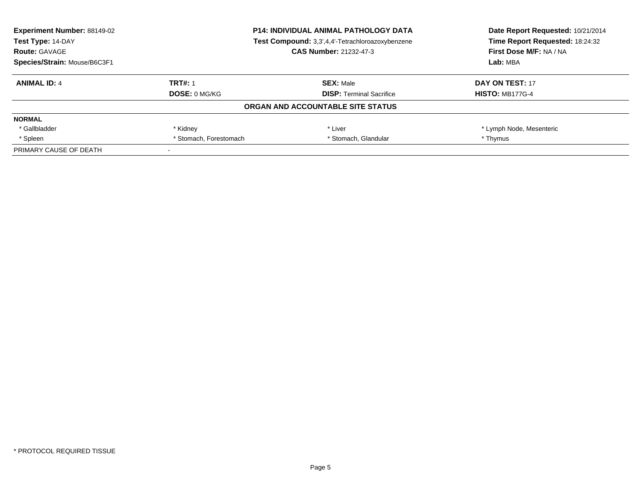| Experiment Number: 88149-02<br><b>P14: INDIVIDUAL ANIMAL PATHOLOGY DATA</b> |                        |                                                  | Date Report Requested: 10/21/2014 |
|-----------------------------------------------------------------------------|------------------------|--------------------------------------------------|-----------------------------------|
| Test Type: 14-DAY                                                           |                        | Test Compound: 3,3',4,4'-Tetrachloroazoxybenzene |                                   |
| <b>Route: GAVAGE</b>                                                        |                        | <b>CAS Number: 21232-47-3</b>                    | First Dose M/F: NA / NA           |
| Species/Strain: Mouse/B6C3F1                                                |                        |                                                  | Lab: MBA                          |
| <b>ANIMAL ID: 4</b>                                                         | <b>TRT#: 1</b>         | <b>SEX: Male</b>                                 | DAY ON TEST: 17                   |
|                                                                             | <b>DOSE: 0 MG/KG</b>   | <b>DISP:</b> Terminal Sacrifice                  | <b>HISTO: MB177G-4</b>            |
|                                                                             |                        | ORGAN AND ACCOUNTABLE SITE STATUS                |                                   |
| <b>NORMAL</b>                                                               |                        |                                                  |                                   |
| * Gallbladder                                                               | * Kidney               | * Liver                                          | * Lymph Node, Mesenteric          |
| * Spleen                                                                    | * Stomach, Forestomach | * Stomach, Glandular                             | * Thymus                          |
| PRIMARY CAUSE OF DEATH                                                      |                        |                                                  |                                   |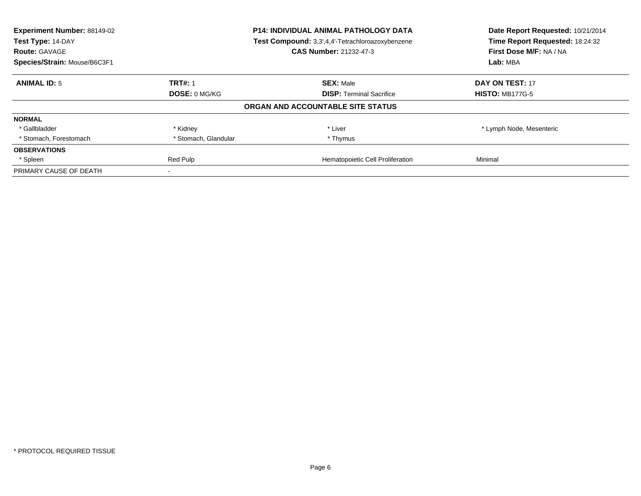| Experiment Number: 88149-02<br>Test Type: 14-DAY<br><b>Route: GAVAGE</b> |                      | P14: INDIVIDUAL ANIMAL PATHOLOGY DATA<br>Test Compound: 3,3',4,4'-Tetrachloroazoxybenzene<br>CAS Number: 21232-47-3 | Date Report Requested: 10/21/2014<br>Time Report Requested: 18:24:32<br>First Dose M/F: NA / NA |
|--------------------------------------------------------------------------|----------------------|---------------------------------------------------------------------------------------------------------------------|-------------------------------------------------------------------------------------------------|
| Species/Strain: Mouse/B6C3F1                                             |                      |                                                                                                                     | Lab: MBA                                                                                        |
| <b>ANIMAL ID: 5</b>                                                      | <b>TRT#: 1</b>       | <b>SEX: Male</b>                                                                                                    | DAY ON TEST: 17                                                                                 |
|                                                                          | DOSE: 0 MG/KG        | <b>DISP:</b> Terminal Sacrifice                                                                                     | <b>HISTO: MB177G-5</b>                                                                          |
|                                                                          |                      | ORGAN AND ACCOUNTABLE SITE STATUS                                                                                   |                                                                                                 |
| <b>NORMAL</b>                                                            |                      |                                                                                                                     |                                                                                                 |
| * Gallbladder                                                            | * Kidney             | * Liver                                                                                                             | * Lymph Node, Mesenteric                                                                        |
| * Stomach, Forestomach                                                   | * Stomach, Glandular | * Thymus                                                                                                            |                                                                                                 |
| <b>OBSERVATIONS</b>                                                      |                      |                                                                                                                     |                                                                                                 |
| * Spleen                                                                 | Red Pulp             | Hematopoietic Cell Proliferation                                                                                    | Minimal                                                                                         |
| PRIMARY CAUSE OF DEATH                                                   |                      |                                                                                                                     |                                                                                                 |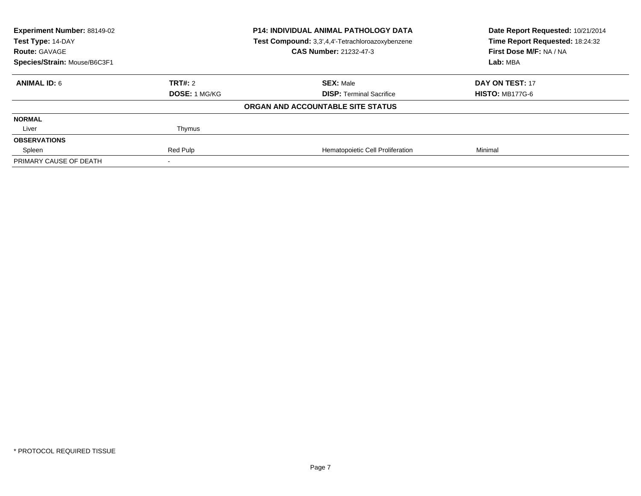| Experiment Number: 88149-02<br>Test Type: 14-DAY<br><b>Route: GAVAGE</b> |               | <b>P14: INDIVIDUAL ANIMAL PATHOLOGY DATA</b><br>Test Compound: 3,3',4,4'-Tetrachloroazoxybenzene<br><b>CAS Number: 21232-47-3</b> | Date Report Requested: 10/21/2014<br>Time Report Requested: 18:24:32<br>First Dose M/F: NA / NA |
|--------------------------------------------------------------------------|---------------|-----------------------------------------------------------------------------------------------------------------------------------|-------------------------------------------------------------------------------------------------|
| Species/Strain: Mouse/B6C3F1                                             |               |                                                                                                                                   | Lab: MBA                                                                                        |
| <b>ANIMAL ID: 6</b>                                                      | TRT#: 2       | <b>SEX: Male</b>                                                                                                                  | DAY ON TEST: 17                                                                                 |
|                                                                          | DOSE: 1 MG/KG | <b>DISP:</b> Terminal Sacrifice                                                                                                   | <b>HISTO: MB177G-6</b>                                                                          |
|                                                                          |               | ORGAN AND ACCOUNTABLE SITE STATUS                                                                                                 |                                                                                                 |
| <b>NORMAL</b>                                                            |               |                                                                                                                                   |                                                                                                 |
| Liver                                                                    | Thymus        |                                                                                                                                   |                                                                                                 |
| <b>OBSERVATIONS</b>                                                      |               |                                                                                                                                   |                                                                                                 |
| Spleen                                                                   | Red Pulp      | Hematopoietic Cell Proliferation                                                                                                  | Minimal                                                                                         |
| PRIMARY CAUSE OF DEATH                                                   |               |                                                                                                                                   |                                                                                                 |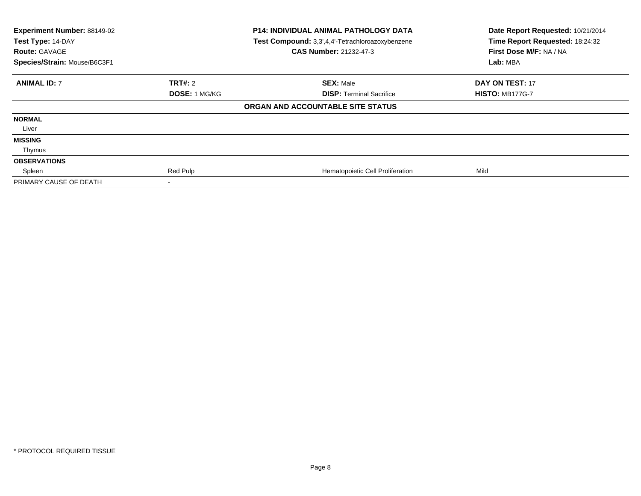| Experiment Number: 88149-02<br>Test Type: 14-DAY<br><b>Route: GAVAGE</b><br>Species/Strain: Mouse/B6C3F1 |                      | <b>P14: INDIVIDUAL ANIMAL PATHOLOGY DATA</b><br>Test Compound: 3,3',4,4'-Tetrachloroazoxybenzene<br><b>CAS Number: 21232-47-3</b> | Date Report Requested: 10/21/2014<br>Time Report Requested: 18:24:32<br>First Dose M/F: NA / NA<br>Lab: MBA |
|----------------------------------------------------------------------------------------------------------|----------------------|-----------------------------------------------------------------------------------------------------------------------------------|-------------------------------------------------------------------------------------------------------------|
| <b>ANIMAL ID: 7</b>                                                                                      | <b>TRT#:</b> 2       | <b>SEX: Male</b>                                                                                                                  | <b>DAY ON TEST: 17</b>                                                                                      |
|                                                                                                          | <b>DOSE: 1 MG/KG</b> | <b>DISP:</b> Terminal Sacrifice                                                                                                   | <b>HISTO: MB177G-7</b>                                                                                      |
|                                                                                                          |                      | ORGAN AND ACCOUNTABLE SITE STATUS                                                                                                 |                                                                                                             |
| <b>NORMAL</b>                                                                                            |                      |                                                                                                                                   |                                                                                                             |
| Liver                                                                                                    |                      |                                                                                                                                   |                                                                                                             |
| <b>MISSING</b>                                                                                           |                      |                                                                                                                                   |                                                                                                             |
| Thymus                                                                                                   |                      |                                                                                                                                   |                                                                                                             |
| <b>OBSERVATIONS</b>                                                                                      |                      |                                                                                                                                   |                                                                                                             |
| Spleen                                                                                                   | Red Pulp             | Hematopoietic Cell Proliferation                                                                                                  | Mild                                                                                                        |
| PRIMARY CAUSE OF DEATH                                                                                   |                      |                                                                                                                                   |                                                                                                             |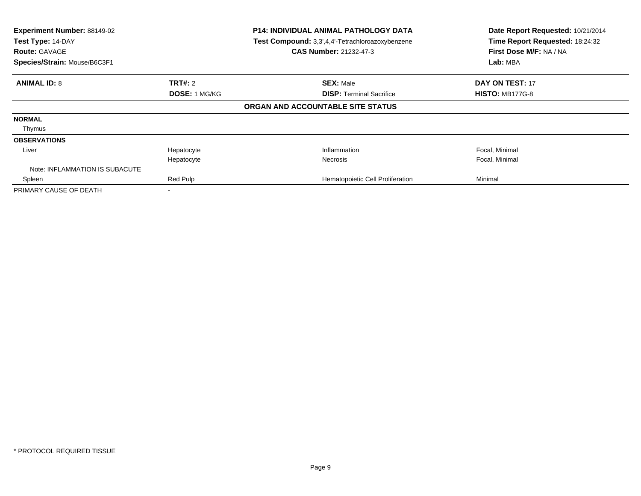| Experiment Number: 88149-02<br>Test Type: 14-DAY<br><b>Route: GAVAGE</b><br>Species/Strain: Mouse/B6C3F1 |                | <b>P14: INDIVIDUAL ANIMAL PATHOLOGY DATA</b><br>Test Compound: 3,3',4,4'-Tetrachloroazoxybenzene<br><b>CAS Number: 21232-47-3</b> | Date Report Requested: 10/21/2014<br>Time Report Requested: 18:24:32<br>First Dose M/F: NA / NA<br>Lab: MBA |
|----------------------------------------------------------------------------------------------------------|----------------|-----------------------------------------------------------------------------------------------------------------------------------|-------------------------------------------------------------------------------------------------------------|
| <b>ANIMAL ID: 8</b>                                                                                      | <b>TRT#: 2</b> | <b>SEX: Male</b>                                                                                                                  | <b>DAY ON TEST: 17</b>                                                                                      |
|                                                                                                          | DOSE: 1 MG/KG  | <b>DISP: Terminal Sacrifice</b>                                                                                                   | <b>HISTO: MB177G-8</b>                                                                                      |
|                                                                                                          |                | ORGAN AND ACCOUNTABLE SITE STATUS                                                                                                 |                                                                                                             |
| <b>NORMAL</b>                                                                                            |                |                                                                                                                                   |                                                                                                             |
| Thymus                                                                                                   |                |                                                                                                                                   |                                                                                                             |
| <b>OBSERVATIONS</b>                                                                                      |                |                                                                                                                                   |                                                                                                             |
| Liver                                                                                                    | Hepatocyte     | Inflammation                                                                                                                      | Focal, Minimal                                                                                              |
|                                                                                                          | Hepatocyte     | Necrosis                                                                                                                          | Focal, Minimal                                                                                              |
| Note: INFLAMMATION IS SUBACUTE                                                                           |                |                                                                                                                                   |                                                                                                             |
| Spleen                                                                                                   | Red Pulp       | Hematopoietic Cell Proliferation                                                                                                  | Minimal                                                                                                     |
| PRIMARY CAUSE OF DEATH                                                                                   |                |                                                                                                                                   |                                                                                                             |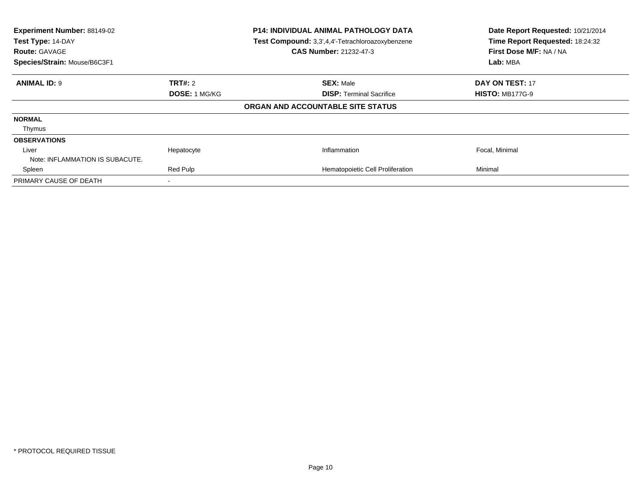| Experiment Number: 88149-02<br>Test Type: 14-DAY<br><b>Route: GAVAGE</b><br>Species/Strain: Mouse/B6C3F1 |               | <b>P14: INDIVIDUAL ANIMAL PATHOLOGY DATA</b><br>Test Compound: 3,3',4,4'-Tetrachloroazoxybenzene<br><b>CAS Number: 21232-47-3</b> | Date Report Requested: 10/21/2014<br>Time Report Requested: 18:24:32<br>First Dose M/F: NA / NA<br>Lab: MBA |
|----------------------------------------------------------------------------------------------------------|---------------|-----------------------------------------------------------------------------------------------------------------------------------|-------------------------------------------------------------------------------------------------------------|
| <b>ANIMAL ID: 9</b>                                                                                      | TRT#: 2       | <b>SEX: Male</b>                                                                                                                  | <b>DAY ON TEST: 17</b>                                                                                      |
|                                                                                                          | DOSE: 1 MG/KG | <b>DISP:</b> Terminal Sacrifice                                                                                                   | <b>HISTO: MB177G-9</b>                                                                                      |
|                                                                                                          |               | ORGAN AND ACCOUNTABLE SITE STATUS                                                                                                 |                                                                                                             |
| <b>NORMAL</b>                                                                                            |               |                                                                                                                                   |                                                                                                             |
| Thymus                                                                                                   |               |                                                                                                                                   |                                                                                                             |
| <b>OBSERVATIONS</b>                                                                                      |               |                                                                                                                                   |                                                                                                             |
| Liver                                                                                                    | Hepatocyte    | Inflammation                                                                                                                      | Focal, Minimal                                                                                              |
| Note: INFLAMMATION IS SUBACUTE.                                                                          |               |                                                                                                                                   |                                                                                                             |
| Spleen                                                                                                   | Red Pulp      | Hematopoietic Cell Proliferation                                                                                                  | Minimal                                                                                                     |
| PRIMARY CAUSE OF DEATH                                                                                   |               |                                                                                                                                   |                                                                                                             |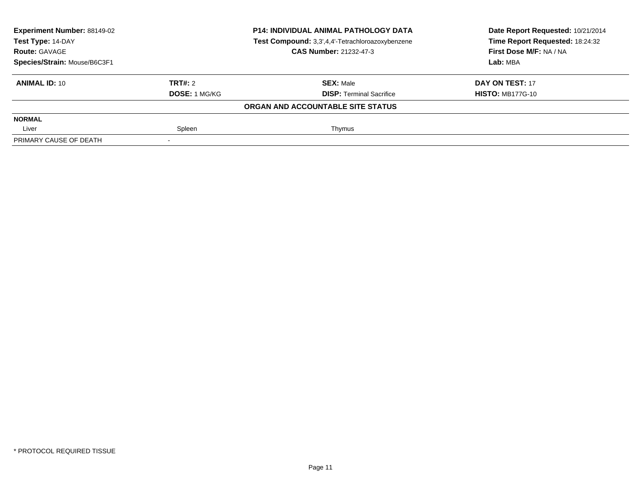| <b>Experiment Number: 88149-02</b><br>Test Type: 14-DAY |                      | <b>P14: INDIVIDUAL ANIMAL PATHOLOGY DATA</b>     | Date Report Requested: 10/21/2014 |  |
|---------------------------------------------------------|----------------------|--------------------------------------------------|-----------------------------------|--|
|                                                         |                      | Test Compound: 3,3',4,4'-Tetrachloroazoxybenzene | Time Report Requested: 18:24:32   |  |
| <b>Route: GAVAGE</b>                                    |                      | <b>CAS Number: 21232-47-3</b>                    | First Dose M/F: NA / NA           |  |
| Species/Strain: Mouse/B6C3F1                            |                      |                                                  | Lab: MBA                          |  |
| <b>ANIMAL ID: 10</b>                                    | TRT#: 2              | <b>SEX: Male</b>                                 | DAY ON TEST: 17                   |  |
|                                                         | <b>DOSE: 1 MG/KG</b> | <b>DISP: Terminal Sacrifice</b>                  | <b>HISTO: MB177G-10</b>           |  |
|                                                         |                      | ORGAN AND ACCOUNTABLE SITE STATUS                |                                   |  |
| <b>NORMAL</b>                                           |                      |                                                  |                                   |  |
| Liver                                                   | Spleen               | Thymus                                           |                                   |  |
| PRIMARY CAUSE OF DEATH                                  |                      |                                                  |                                   |  |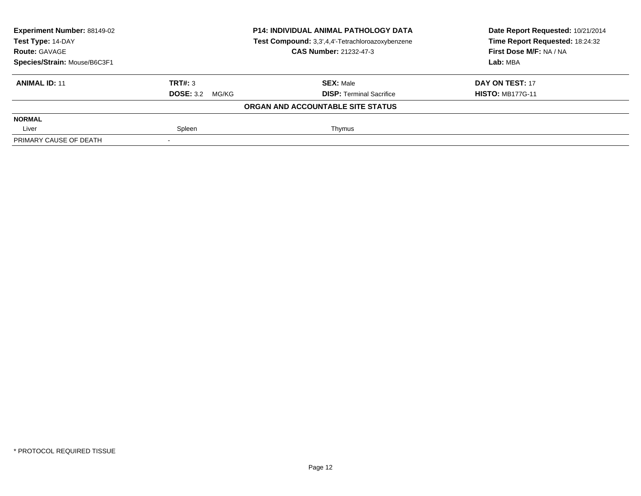| <b>Experiment Number: 88149-02</b> |                        | <b>P14: INDIVIDUAL ANIMAL PATHOLOGY DATA</b>     | Date Report Requested: 10/21/2014 |
|------------------------------------|------------------------|--------------------------------------------------|-----------------------------------|
| Test Type: 14-DAY                  |                        | Test Compound: 3,3',4,4'-Tetrachloroazoxybenzene | Time Report Requested: 18:24:32   |
| <b>Route: GAVAGE</b>               |                        | <b>CAS Number: 21232-47-3</b>                    | First Dose M/F: NA / NA           |
| Species/Strain: Mouse/B6C3F1       |                        |                                                  | Lab: MBA                          |
| <b>ANIMAL ID: 11</b>               | TRT#: 3                | <b>SEX: Male</b>                                 | DAY ON TEST: 17                   |
|                                    | <b>DOSE: 3.2 MG/KG</b> | <b>DISP: Terminal Sacrifice</b>                  | <b>HISTO: MB177G-11</b>           |
|                                    |                        | ORGAN AND ACCOUNTABLE SITE STATUS                |                                   |
| <b>NORMAL</b>                      |                        |                                                  |                                   |
| Liver                              | Spleen                 | Thymus                                           |                                   |
| PRIMARY CAUSE OF DEATH             |                        |                                                  |                                   |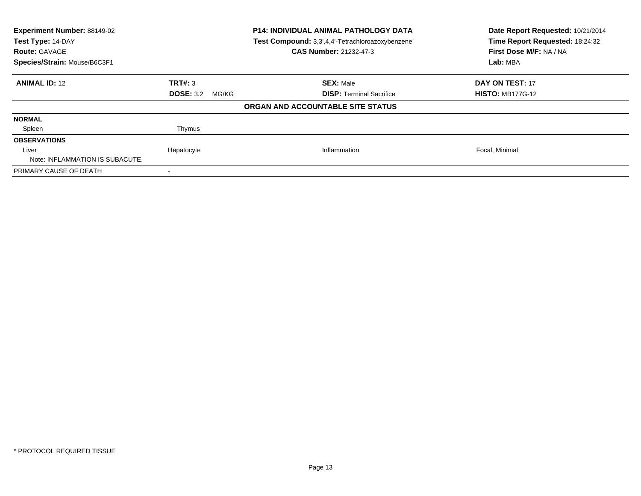| Experiment Number: 88149-02<br>Test Type: 14-DAY<br><b>Route: GAVAGE</b><br>Species/Strain: Mouse/B6C3F1 |                           | <b>P14: INDIVIDUAL ANIMAL PATHOLOGY DATA</b><br>Test Compound: 3,3',4,4'-Tetrachloroazoxybenzene<br><b>CAS Number: 21232-47-3</b> | Date Report Requested: 10/21/2014<br>Time Report Requested: 18:24:32<br>First Dose M/F: NA / NA<br>Lab: MBA |
|----------------------------------------------------------------------------------------------------------|---------------------------|-----------------------------------------------------------------------------------------------------------------------------------|-------------------------------------------------------------------------------------------------------------|
| <b>ANIMAL ID: 12</b>                                                                                     | TRT#: 3                   | <b>SEX: Male</b>                                                                                                                  | DAY ON TEST: 17                                                                                             |
|                                                                                                          | <b>DOSE: 3.2</b><br>MG/KG | <b>DISP:</b> Terminal Sacrifice                                                                                                   | <b>HISTO: MB177G-12</b>                                                                                     |
|                                                                                                          |                           | ORGAN AND ACCOUNTABLE SITE STATUS                                                                                                 |                                                                                                             |
| <b>NORMAL</b>                                                                                            |                           |                                                                                                                                   |                                                                                                             |
| Spleen                                                                                                   | Thymus                    |                                                                                                                                   |                                                                                                             |
| <b>OBSERVATIONS</b>                                                                                      |                           |                                                                                                                                   |                                                                                                             |
| Liver                                                                                                    | Hepatocyte                | Inflammation                                                                                                                      | Focal, Minimal                                                                                              |
| Note: INFLAMMATION IS SUBACUTE.                                                                          |                           |                                                                                                                                   |                                                                                                             |
| PRIMARY CAUSE OF DEATH                                                                                   |                           |                                                                                                                                   |                                                                                                             |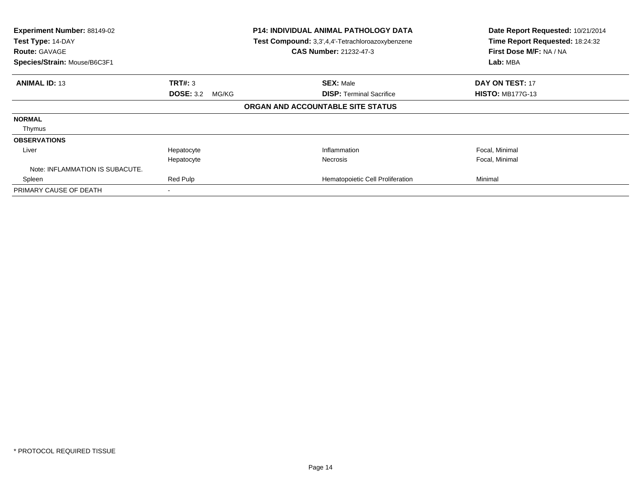| Experiment Number: 88149-02<br>Test Type: 14-DAY<br><b>Route: GAVAGE</b><br>Species/Strain: Mouse/B6C3F1 |                           | <b>P14: INDIVIDUAL ANIMAL PATHOLOGY DATA</b><br>Test Compound: 3,3',4,4'-Tetrachloroazoxybenzene<br><b>CAS Number: 21232-47-3</b> | Date Report Requested: 10/21/2014<br>Time Report Requested: 18:24:32<br>First Dose M/F: NA / NA<br>Lab: MBA |
|----------------------------------------------------------------------------------------------------------|---------------------------|-----------------------------------------------------------------------------------------------------------------------------------|-------------------------------------------------------------------------------------------------------------|
| <b>ANIMAL ID: 13</b>                                                                                     | TRT#: 3                   | <b>SEX: Male</b>                                                                                                                  | <b>DAY ON TEST: 17</b>                                                                                      |
|                                                                                                          | <b>DOSE: 3.2</b><br>MG/KG | <b>DISP: Terminal Sacrifice</b>                                                                                                   | <b>HISTO: MB177G-13</b>                                                                                     |
|                                                                                                          |                           | ORGAN AND ACCOUNTABLE SITE STATUS                                                                                                 |                                                                                                             |
| <b>NORMAL</b>                                                                                            |                           |                                                                                                                                   |                                                                                                             |
| Thymus                                                                                                   |                           |                                                                                                                                   |                                                                                                             |
| <b>OBSERVATIONS</b>                                                                                      |                           |                                                                                                                                   |                                                                                                             |
| Liver                                                                                                    | Hepatocyte                | Inflammation                                                                                                                      | Focal, Minimal                                                                                              |
|                                                                                                          | Hepatocyte                | <b>Necrosis</b>                                                                                                                   | Focal, Minimal                                                                                              |
| Note: INFLAMMATION IS SUBACUTE.                                                                          |                           |                                                                                                                                   |                                                                                                             |
| Spleen                                                                                                   | Red Pulp                  | Hematopoietic Cell Proliferation                                                                                                  | Minimal                                                                                                     |
| PRIMARY CAUSE OF DEATH                                                                                   |                           |                                                                                                                                   |                                                                                                             |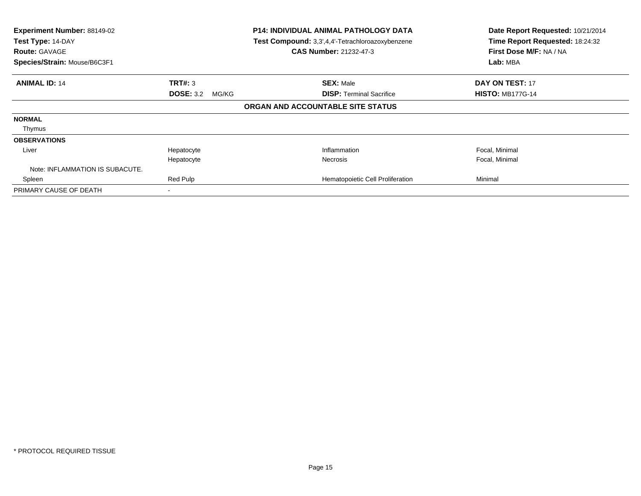| Experiment Number: 88149-02<br>Test Type: 14-DAY<br><b>Route: GAVAGE</b><br>Species/Strain: Mouse/B6C3F1 |                           | <b>P14: INDIVIDUAL ANIMAL PATHOLOGY DATA</b><br>Test Compound: 3,3',4,4'-Tetrachloroazoxybenzene<br><b>CAS Number: 21232-47-3</b> | Date Report Requested: 10/21/2014<br>Time Report Requested: 18:24:32<br>First Dose M/F: NA / NA<br>Lab: MBA |
|----------------------------------------------------------------------------------------------------------|---------------------------|-----------------------------------------------------------------------------------------------------------------------------------|-------------------------------------------------------------------------------------------------------------|
| <b>ANIMAL ID: 14</b>                                                                                     | TRT#: 3                   | <b>SEX: Male</b>                                                                                                                  | <b>DAY ON TEST: 17</b>                                                                                      |
|                                                                                                          | <b>DOSE: 3.2</b><br>MG/KG | <b>DISP: Terminal Sacrifice</b>                                                                                                   | <b>HISTO: MB177G-14</b>                                                                                     |
|                                                                                                          |                           | ORGAN AND ACCOUNTABLE SITE STATUS                                                                                                 |                                                                                                             |
| <b>NORMAL</b>                                                                                            |                           |                                                                                                                                   |                                                                                                             |
| Thymus                                                                                                   |                           |                                                                                                                                   |                                                                                                             |
| <b>OBSERVATIONS</b>                                                                                      |                           |                                                                                                                                   |                                                                                                             |
| Liver                                                                                                    | Hepatocyte                | Inflammation                                                                                                                      | Focal, Minimal                                                                                              |
|                                                                                                          | Hepatocyte                | <b>Necrosis</b>                                                                                                                   | Focal, Minimal                                                                                              |
| Note: INFLAMMATION IS SUBACUTE.                                                                          |                           |                                                                                                                                   |                                                                                                             |
| Spleen                                                                                                   | Red Pulp                  | Hematopoietic Cell Proliferation                                                                                                  | Minimal                                                                                                     |
| PRIMARY CAUSE OF DEATH                                                                                   |                           |                                                                                                                                   |                                                                                                             |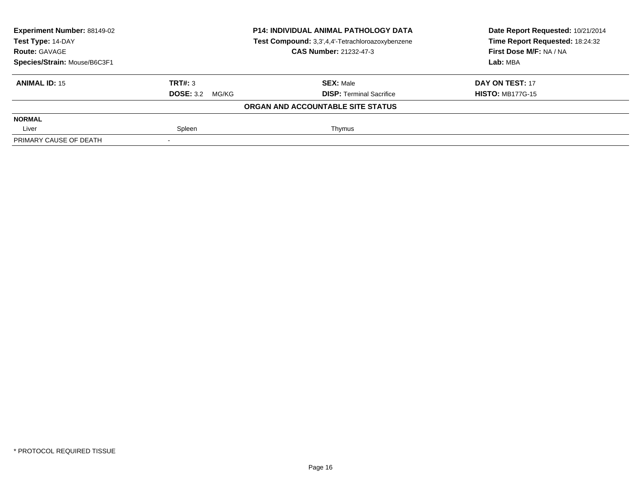| <b>Experiment Number: 88149-02</b> |                        | <b>P14: INDIVIDUAL ANIMAL PATHOLOGY DATA</b>     | Date Report Requested: 10/21/2014 |
|------------------------------------|------------------------|--------------------------------------------------|-----------------------------------|
| Test Type: 14-DAY                  |                        | Test Compound: 3,3',4,4'-Tetrachloroazoxybenzene | Time Report Requested: 18:24:32   |
| <b>Route: GAVAGE</b>               |                        | <b>CAS Number: 21232-47-3</b>                    | First Dose M/F: NA / NA           |
| Species/Strain: Mouse/B6C3F1       |                        | Lab: MBA                                         |                                   |
| <b>ANIMAL ID: 15</b>               | TRT#: 3                | <b>SEX: Male</b>                                 | DAY ON TEST: 17                   |
|                                    | <b>DOSE: 3.2 MG/KG</b> | <b>DISP: Terminal Sacrifice</b>                  | <b>HISTO: MB177G-15</b>           |
|                                    |                        | ORGAN AND ACCOUNTABLE SITE STATUS                |                                   |
| <b>NORMAL</b>                      |                        |                                                  |                                   |
| Liver                              | Spleen                 | Thymus                                           |                                   |
| PRIMARY CAUSE OF DEATH             |                        |                                                  |                                   |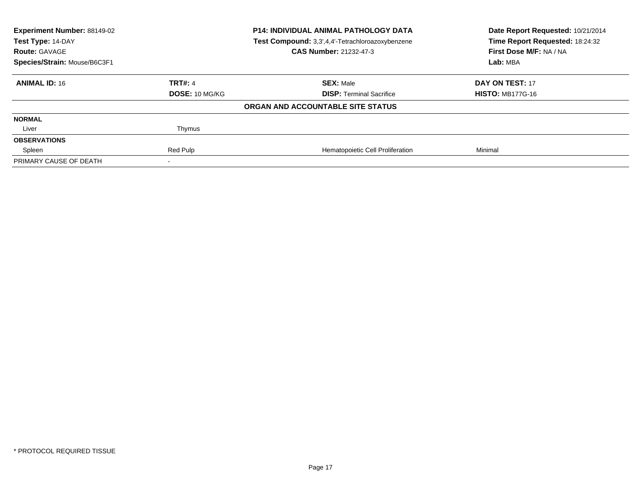| Experiment Number: 88149-02<br>Test Type: 14-DAY<br><b>Route: GAVAGE</b> | <b>P14: INDIVIDUAL ANIMAL PATHOLOGY DATA</b><br>Test Compound: 3,3',4,4'-Tetrachloroazoxybenzene<br><b>CAS Number: 21232-47-3</b> |                                   | Date Report Requested: 10/21/2014<br>Time Report Requested: 18:24:32<br>First Dose M/F: NA / NA |
|--------------------------------------------------------------------------|-----------------------------------------------------------------------------------------------------------------------------------|-----------------------------------|-------------------------------------------------------------------------------------------------|
| Species/Strain: Mouse/B6C3F1                                             |                                                                                                                                   |                                   | Lab: MBA                                                                                        |
| <b>ANIMAL ID: 16</b>                                                     | <b>TRT#: 4</b>                                                                                                                    | <b>SEX: Male</b>                  | DAY ON TEST: 17                                                                                 |
|                                                                          | <b>DOSE: 10 MG/KG</b>                                                                                                             | <b>DISP: Terminal Sacrifice</b>   | <b>HISTO: MB177G-16</b>                                                                         |
|                                                                          |                                                                                                                                   | ORGAN AND ACCOUNTABLE SITE STATUS |                                                                                                 |
| <b>NORMAL</b>                                                            |                                                                                                                                   |                                   |                                                                                                 |
| Liver                                                                    | Thymus                                                                                                                            |                                   |                                                                                                 |
| <b>OBSERVATIONS</b>                                                      |                                                                                                                                   |                                   |                                                                                                 |
| Spleen                                                                   | Red Pulp                                                                                                                          | Hematopoietic Cell Proliferation  | Minimal                                                                                         |
| PRIMARY CAUSE OF DEATH                                                   |                                                                                                                                   |                                   |                                                                                                 |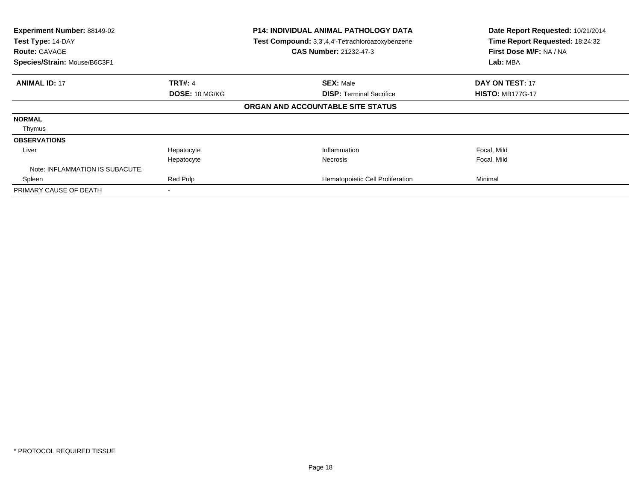| Experiment Number: 88149-02<br>Test Type: 14-DAY<br><b>Route: GAVAGE</b><br>Species/Strain: Mouse/B6C3F1 |                                  | <b>P14: INDIVIDUAL ANIMAL PATHOLOGY DATA</b><br>Test Compound: 3,3',4,4'-Tetrachloroazoxybenzene<br>CAS Number: 21232-47-3 | Date Report Requested: 10/21/2014<br>Time Report Requested: 18:24:32<br>First Dose M/F: NA / NA<br>Lab: MBA |
|----------------------------------------------------------------------------------------------------------|----------------------------------|----------------------------------------------------------------------------------------------------------------------------|-------------------------------------------------------------------------------------------------------------|
| <b>ANIMAL ID: 17</b>                                                                                     | <b>TRT#: 4</b><br>DOSE: 10 MG/KG | <b>SEX: Male</b><br><b>DISP: Terminal Sacrifice</b>                                                                        | DAY ON TEST: 17<br><b>HISTO: MB177G-17</b>                                                                  |
|                                                                                                          |                                  | ORGAN AND ACCOUNTABLE SITE STATUS                                                                                          |                                                                                                             |
| <b>NORMAL</b><br>Thymus                                                                                  |                                  |                                                                                                                            |                                                                                                             |
| <b>OBSERVATIONS</b>                                                                                      |                                  |                                                                                                                            |                                                                                                             |
| Liver                                                                                                    | Hepatocyte<br>Hepatocyte         | Inflammation<br><b>Necrosis</b>                                                                                            | Focal, Mild<br>Focal, Mild                                                                                  |
| Note: INFLAMMATION IS SUBACUTE.                                                                          |                                  |                                                                                                                            |                                                                                                             |
| Spleen                                                                                                   | Red Pulp                         | Hematopoietic Cell Proliferation                                                                                           | Minimal                                                                                                     |
| PRIMARY CAUSE OF DEATH                                                                                   |                                  |                                                                                                                            |                                                                                                             |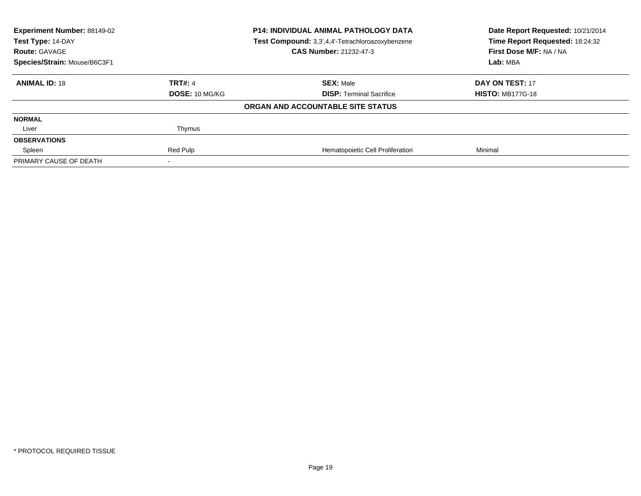| Experiment Number: 88149-02<br>Test Type: 14-DAY<br><b>Route: GAVAGE</b> | <b>P14: INDIVIDUAL ANIMAL PATHOLOGY DATA</b><br>Test Compound: 3,3',4,4'-Tetrachloroazoxybenzene<br><b>CAS Number: 21232-47-3</b> |                                   | Date Report Requested: 10/21/2014<br>Time Report Requested: 18:24:32<br>First Dose M/F: NA / NA |
|--------------------------------------------------------------------------|-----------------------------------------------------------------------------------------------------------------------------------|-----------------------------------|-------------------------------------------------------------------------------------------------|
| Species/Strain: Mouse/B6C3F1                                             |                                                                                                                                   |                                   | Lab: MBA                                                                                        |
| <b>ANIMAL ID: 18</b>                                                     | <b>TRT#: 4</b>                                                                                                                    | <b>SEX: Male</b>                  | DAY ON TEST: 17                                                                                 |
|                                                                          | <b>DOSE: 10 MG/KG</b>                                                                                                             | <b>DISP: Terminal Sacrifice</b>   | <b>HISTO: MB177G-18</b>                                                                         |
|                                                                          |                                                                                                                                   | ORGAN AND ACCOUNTABLE SITE STATUS |                                                                                                 |
| <b>NORMAL</b>                                                            |                                                                                                                                   |                                   |                                                                                                 |
| Liver                                                                    | Thymus                                                                                                                            |                                   |                                                                                                 |
| <b>OBSERVATIONS</b>                                                      |                                                                                                                                   |                                   |                                                                                                 |
| Spleen                                                                   | Red Pulp                                                                                                                          | Hematopoietic Cell Proliferation  | Minimal                                                                                         |
| PRIMARY CAUSE OF DEATH                                                   |                                                                                                                                   |                                   |                                                                                                 |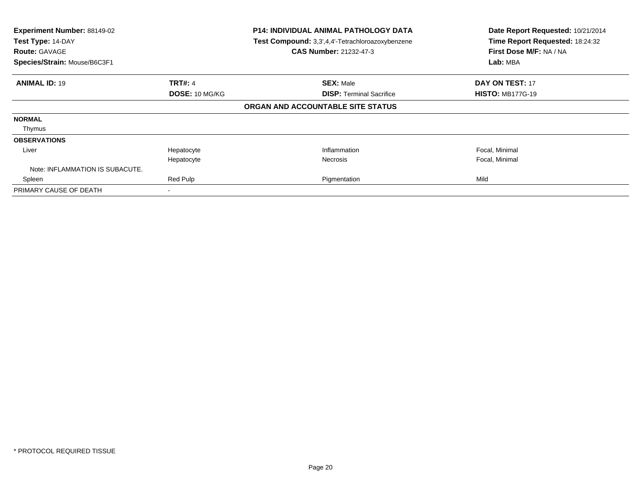| Experiment Number: 88149-02<br>Test Type: 14-DAY<br><b>Route: GAVAGE</b><br>Species/Strain: Mouse/B6C3F1 |                | <b>P14: INDIVIDUAL ANIMAL PATHOLOGY DATA</b><br>Test Compound: 3,3',4,4'-Tetrachloroazoxybenzene<br><b>CAS Number: 21232-47-3</b> | Date Report Requested: 10/21/2014<br>Time Report Requested: 18:24:32<br>First Dose M/F: NA / NA<br>Lab: MBA |
|----------------------------------------------------------------------------------------------------------|----------------|-----------------------------------------------------------------------------------------------------------------------------------|-------------------------------------------------------------------------------------------------------------|
| <b>ANIMAL ID: 19</b>                                                                                     | <b>TRT#: 4</b> | <b>SEX: Male</b>                                                                                                                  | <b>DAY ON TEST: 17</b>                                                                                      |
|                                                                                                          | DOSE: 10 MG/KG | <b>DISP:</b> Terminal Sacrifice                                                                                                   | <b>HISTO: MB177G-19</b>                                                                                     |
|                                                                                                          |                | ORGAN AND ACCOUNTABLE SITE STATUS                                                                                                 |                                                                                                             |
| <b>NORMAL</b>                                                                                            |                |                                                                                                                                   |                                                                                                             |
| Thymus                                                                                                   |                |                                                                                                                                   |                                                                                                             |
| <b>OBSERVATIONS</b>                                                                                      |                |                                                                                                                                   |                                                                                                             |
| Liver                                                                                                    | Hepatocyte     | Inflammation                                                                                                                      | Focal, Minimal                                                                                              |
|                                                                                                          | Hepatocyte     | <b>Necrosis</b>                                                                                                                   | Focal, Minimal                                                                                              |
| Note: INFLAMMATION IS SUBACUTE.                                                                          |                |                                                                                                                                   |                                                                                                             |
| Spleen                                                                                                   | Red Pulp       | Pigmentation                                                                                                                      | Mild                                                                                                        |
| PRIMARY CAUSE OF DEATH                                                                                   |                |                                                                                                                                   |                                                                                                             |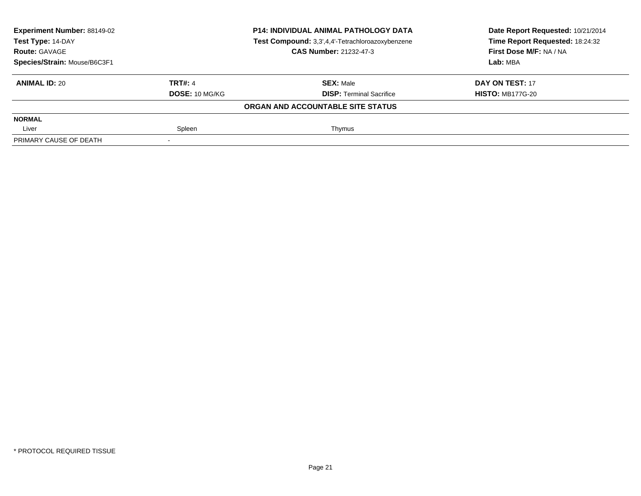| Experiment Number: 88149-02<br>Test Type: 14-DAY |                | <b>P14: INDIVIDUAL ANIMAL PATHOLOGY DATA</b><br>Test Compound: 3,3',4,4'-Tetrachloroazoxybenzene | Date Report Requested: 10/21/2014<br>Time Report Requested: 18:24:32 |
|--------------------------------------------------|----------------|--------------------------------------------------------------------------------------------------|----------------------------------------------------------------------|
| <b>Route: GAVAGE</b>                             |                | <b>CAS Number: 21232-47-3</b>                                                                    | First Dose M/F: NA / NA                                              |
| Species/Strain: Mouse/B6C3F1                     |                |                                                                                                  | Lab: MBA                                                             |
| <b>ANIMAL ID: 20</b>                             | <b>TRT#: 4</b> | <b>SEX: Male</b>                                                                                 | DAY ON TEST: 17                                                      |
|                                                  | DOSE: 10 MG/KG | <b>DISP:</b> Terminal Sacrifice                                                                  | <b>HISTO: MB177G-20</b>                                              |
|                                                  |                | ORGAN AND ACCOUNTABLE SITE STATUS                                                                |                                                                      |
| <b>NORMAL</b>                                    |                |                                                                                                  |                                                                      |
| Liver                                            | Spleen         | Thymus                                                                                           |                                                                      |
| PRIMARY CAUSE OF DEATH                           |                |                                                                                                  |                                                                      |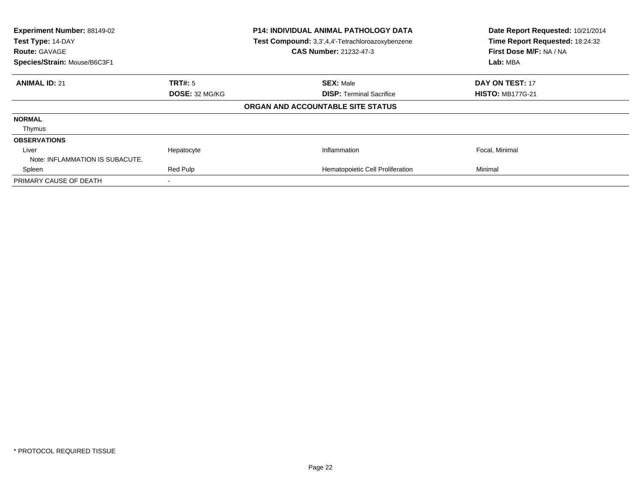| Experiment Number: 88149-02<br>Test Type: 14-DAY<br><b>Route: GAVAGE</b><br>Species/Strain: Mouse/B6C3F1 |                          | <b>P14: INDIVIDUAL ANIMAL PATHOLOGY DATA</b><br>Test Compound: 3,3',4,4'-Tetrachloroazoxybenzene<br><b>CAS Number: 21232-47-3</b> |                                  | Date Report Requested: 10/21/2014<br>Time Report Requested: 18:24:32<br>First Dose M/F: NA / NA<br>Lab: MBA |
|----------------------------------------------------------------------------------------------------------|--------------------------|-----------------------------------------------------------------------------------------------------------------------------------|----------------------------------|-------------------------------------------------------------------------------------------------------------|
| <b>ANIMAL ID: 21</b>                                                                                     | <b>TRT#:</b> 5           |                                                                                                                                   | <b>SEX: Male</b>                 | <b>DAY ON TEST: 17</b>                                                                                      |
|                                                                                                          | DOSE: 32 MG/KG           |                                                                                                                                   | <b>DISP: Terminal Sacrifice</b>  | <b>HISTO: MB177G-21</b>                                                                                     |
|                                                                                                          |                          | ORGAN AND ACCOUNTABLE SITE STATUS                                                                                                 |                                  |                                                                                                             |
| <b>NORMAL</b>                                                                                            |                          |                                                                                                                                   |                                  |                                                                                                             |
| Thymus                                                                                                   |                          |                                                                                                                                   |                                  |                                                                                                             |
| <b>OBSERVATIONS</b>                                                                                      |                          |                                                                                                                                   |                                  |                                                                                                             |
| Liver                                                                                                    | Hepatocyte               |                                                                                                                                   | Inflammation                     | Focal, Minimal                                                                                              |
| Note: INFLAMMATION IS SUBACUTE.                                                                          |                          |                                                                                                                                   |                                  |                                                                                                             |
| Spleen                                                                                                   | Red Pulp                 |                                                                                                                                   | Hematopoietic Cell Proliferation | Minimal                                                                                                     |
| PRIMARY CAUSE OF DEATH                                                                                   | $\overline{\phantom{a}}$ |                                                                                                                                   |                                  |                                                                                                             |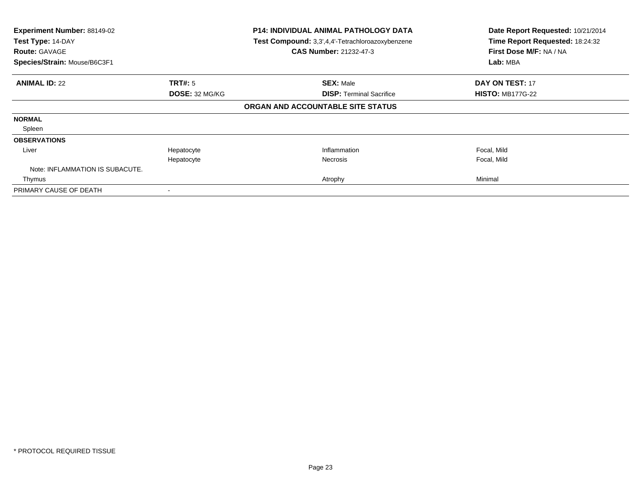| Experiment Number: 88149-02<br>Test Type: 14-DAY<br><b>Route: GAVAGE</b><br>Species/Strain: Mouse/B6C3F1 |                | <b>P14: INDIVIDUAL ANIMAL PATHOLOGY DATA</b><br>Test Compound: 3,3',4,4'-Tetrachloroazoxybenzene<br>CAS Number: 21232-47-3 | Date Report Requested: 10/21/2014<br>Time Report Requested: 18:24:32<br>First Dose M/F: NA / NA<br>Lab: MBA |
|----------------------------------------------------------------------------------------------------------|----------------|----------------------------------------------------------------------------------------------------------------------------|-------------------------------------------------------------------------------------------------------------|
|                                                                                                          |                |                                                                                                                            |                                                                                                             |
| <b>ANIMAL ID: 22</b>                                                                                     | <b>TRT#:</b> 5 | <b>SEX: Male</b>                                                                                                           | DAY ON TEST: 17                                                                                             |
|                                                                                                          | DOSE: 32 MG/KG | <b>DISP: Terminal Sacrifice</b>                                                                                            | <b>HISTO: MB177G-22</b>                                                                                     |
|                                                                                                          |                | ORGAN AND ACCOUNTABLE SITE STATUS                                                                                          |                                                                                                             |
| <b>NORMAL</b>                                                                                            |                |                                                                                                                            |                                                                                                             |
| Spleen                                                                                                   |                |                                                                                                                            |                                                                                                             |
| <b>OBSERVATIONS</b>                                                                                      |                |                                                                                                                            |                                                                                                             |
| Liver                                                                                                    | Hepatocyte     | Inflammation                                                                                                               | Focal, Mild                                                                                                 |
|                                                                                                          | Hepatocyte     | <b>Necrosis</b>                                                                                                            | Focal, Mild                                                                                                 |
| Note: INFLAMMATION IS SUBACUTE.                                                                          |                |                                                                                                                            |                                                                                                             |
| Thymus                                                                                                   |                | Atrophy                                                                                                                    | Minimal                                                                                                     |
| PRIMARY CAUSE OF DEATH                                                                                   |                |                                                                                                                            |                                                                                                             |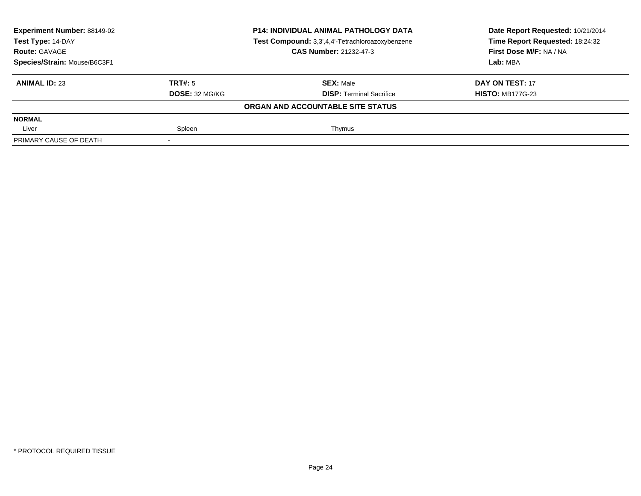| Experiment Number: 88149-02<br>Test Type: 14-DAY |                       | <b>P14: INDIVIDUAL ANIMAL PATHOLOGY DATA</b><br>Test Compound: 3,3',4,4'-Tetrachloroazoxybenzene | Date Report Requested: 10/21/2014<br>Time Report Requested: 18:24:32 |
|--------------------------------------------------|-----------------------|--------------------------------------------------------------------------------------------------|----------------------------------------------------------------------|
| <b>Route: GAVAGE</b>                             |                       | <b>CAS Number: 21232-47-3</b>                                                                    | First Dose M/F: NA / NA                                              |
| Species/Strain: Mouse/B6C3F1                     |                       |                                                                                                  | Lab: MBA                                                             |
| <b>ANIMAL ID: 23</b>                             | TRT#: 5               | <b>SEX: Male</b>                                                                                 | DAY ON TEST: 17                                                      |
|                                                  | <b>DOSE: 32 MG/KG</b> | <b>DISP:</b> Terminal Sacrifice                                                                  | <b>HISTO: MB177G-23</b>                                              |
|                                                  |                       | ORGAN AND ACCOUNTABLE SITE STATUS                                                                |                                                                      |
| <b>NORMAL</b>                                    |                       |                                                                                                  |                                                                      |
| Liver                                            | Spleen                | Thymus                                                                                           |                                                                      |
| PRIMARY CAUSE OF DEATH                           |                       |                                                                                                  |                                                                      |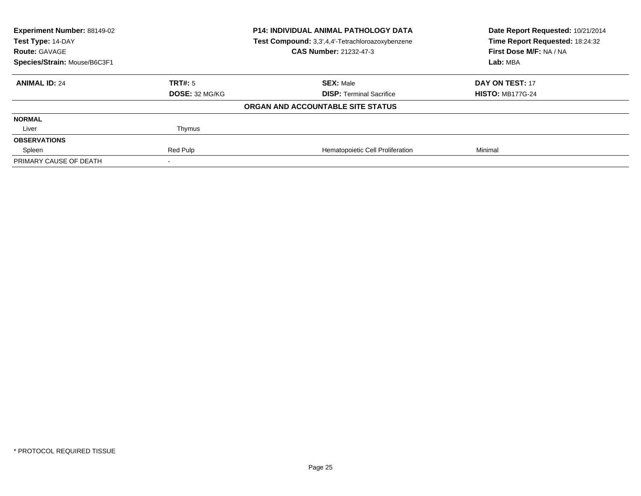| Experiment Number: 88149-02<br>Test Type: 14-DAY<br><b>Route: GAVAGE</b> | <b>P14: INDIVIDUAL ANIMAL PATHOLOGY DATA</b><br>Test Compound: 3,3',4,4'-Tetrachloroazoxybenzene<br><b>CAS Number: 21232-47-3</b> |                                   | Date Report Requested: 10/21/2014<br>Time Report Requested: 18:24:32<br>First Dose M/F: NA / NA |
|--------------------------------------------------------------------------|-----------------------------------------------------------------------------------------------------------------------------------|-----------------------------------|-------------------------------------------------------------------------------------------------|
| Species/Strain: Mouse/B6C3F1                                             |                                                                                                                                   |                                   | Lab: MBA                                                                                        |
| <b>ANIMAL ID: 24</b>                                                     | TRT#: 5                                                                                                                           | <b>SEX: Male</b>                  | DAY ON TEST: 17                                                                                 |
|                                                                          | <b>DOSE: 32 MG/KG</b>                                                                                                             | <b>DISP: Terminal Sacrifice</b>   | <b>HISTO: MB177G-24</b>                                                                         |
|                                                                          |                                                                                                                                   | ORGAN AND ACCOUNTABLE SITE STATUS |                                                                                                 |
| <b>NORMAL</b>                                                            |                                                                                                                                   |                                   |                                                                                                 |
| Liver                                                                    | Thymus                                                                                                                            |                                   |                                                                                                 |
| <b>OBSERVATIONS</b>                                                      |                                                                                                                                   |                                   |                                                                                                 |
| Spleen                                                                   | Red Pulp                                                                                                                          | Hematopoietic Cell Proliferation  | Minimal                                                                                         |
| PRIMARY CAUSE OF DEATH                                                   |                                                                                                                                   |                                   |                                                                                                 |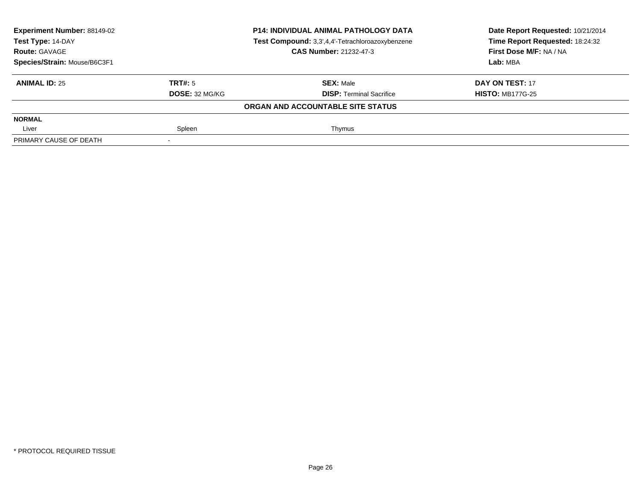| Experiment Number: 88149-02<br><b>P14: INDIVIDUAL ANIMAL PATHOLOGY DATA</b><br>Test Compound: 3,3',4,4'-Tetrachloroazoxybenzene<br>Test Type: 14-DAY |                       | Date Report Requested: 10/21/2014<br>Time Report Requested: 18:24:32 |                         |
|------------------------------------------------------------------------------------------------------------------------------------------------------|-----------------------|----------------------------------------------------------------------|-------------------------|
| <b>Route: GAVAGE</b>                                                                                                                                 |                       | <b>CAS Number: 21232-47-3</b>                                        | First Dose M/F: NA / NA |
| Species/Strain: Mouse/B6C3F1                                                                                                                         |                       |                                                                      | Lab: MBA                |
| <b>ANIMAL ID: 25</b>                                                                                                                                 | TRT#: 5               | <b>SEX: Male</b>                                                     | DAY ON TEST: 17         |
|                                                                                                                                                      | <b>DOSE: 32 MG/KG</b> | <b>DISP:</b> Terminal Sacrifice                                      | <b>HISTO: MB177G-25</b> |
|                                                                                                                                                      |                       | ORGAN AND ACCOUNTABLE SITE STATUS                                    |                         |
| <b>NORMAL</b>                                                                                                                                        |                       |                                                                      |                         |
| Liver                                                                                                                                                | Spleen                | Thymus                                                               |                         |
| PRIMARY CAUSE OF DEATH                                                                                                                               |                       |                                                                      |                         |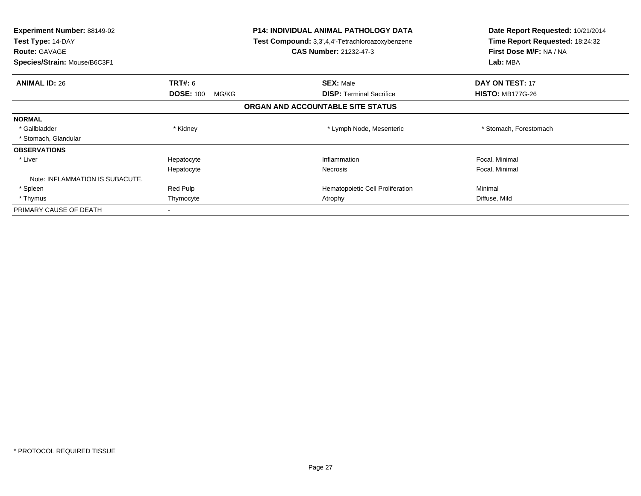| <b>Experiment Number: 88149-02</b><br>Test Type: 14-DAY<br><b>Route: GAVAGE</b><br>Species/Strain: Mouse/B6C3F1 |                           | <b>P14: INDIVIDUAL ANIMAL PATHOLOGY DATA</b><br>Test Compound: 3,3',4,4'-Tetrachloroazoxybenzene<br><b>CAS Number: 21232-47-3</b> | Date Report Requested: 10/21/2014<br>Time Report Requested: 18:24:32<br>First Dose M/F: NA / NA<br>Lab: MBA |
|-----------------------------------------------------------------------------------------------------------------|---------------------------|-----------------------------------------------------------------------------------------------------------------------------------|-------------------------------------------------------------------------------------------------------------|
| <b>ANIMAL ID: 26</b>                                                                                            | <b>TRT#:</b> 6            | <b>SEX: Male</b>                                                                                                                  | DAY ON TEST: 17                                                                                             |
|                                                                                                                 | <b>DOSE: 100</b><br>MG/KG | <b>DISP:</b> Terminal Sacrifice                                                                                                   | <b>HISTO: MB177G-26</b>                                                                                     |
|                                                                                                                 |                           | ORGAN AND ACCOUNTABLE SITE STATUS                                                                                                 |                                                                                                             |
| <b>NORMAL</b>                                                                                                   |                           |                                                                                                                                   |                                                                                                             |
| * Gallbladder                                                                                                   | * Kidney                  | * Lymph Node, Mesenteric                                                                                                          | * Stomach, Forestomach                                                                                      |
| * Stomach, Glandular                                                                                            |                           |                                                                                                                                   |                                                                                                             |
| <b>OBSERVATIONS</b>                                                                                             |                           |                                                                                                                                   |                                                                                                             |
| * Liver                                                                                                         | Hepatocyte                | Inflammation                                                                                                                      | Focal, Minimal                                                                                              |
|                                                                                                                 | Hepatocyte                | Necrosis                                                                                                                          | Focal, Minimal                                                                                              |
| Note: INFLAMMATION IS SUBACUTE.                                                                                 |                           |                                                                                                                                   |                                                                                                             |
| * Spleen                                                                                                        | Red Pulp                  | Hematopoietic Cell Proliferation                                                                                                  | Minimal                                                                                                     |
| * Thymus                                                                                                        | Thymocyte                 | Atrophy                                                                                                                           | Diffuse, Mild                                                                                               |
| PRIMARY CAUSE OF DEATH                                                                                          |                           |                                                                                                                                   |                                                                                                             |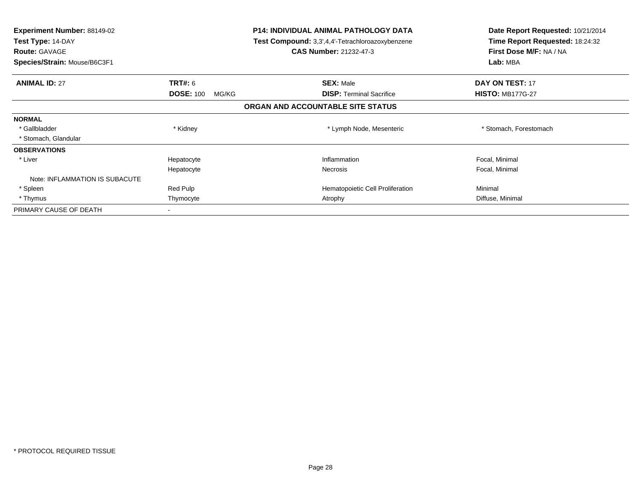| <b>Experiment Number: 88149-02</b><br>Test Type: 14-DAY<br><b>Route: GAVAGE</b><br>Species/Strain: Mouse/B6C3F1 |                           | <b>P14: INDIVIDUAL ANIMAL PATHOLOGY DATA</b><br>Test Compound: 3,3',4,4'-Tetrachloroazoxybenzene<br><b>CAS Number: 21232-47-3</b> | Date Report Requested: 10/21/2014<br>Time Report Requested: 18:24:32<br>First Dose M/F: NA / NA<br>Lab: MBA |
|-----------------------------------------------------------------------------------------------------------------|---------------------------|-----------------------------------------------------------------------------------------------------------------------------------|-------------------------------------------------------------------------------------------------------------|
| <b>ANIMAL ID: 27</b>                                                                                            | <b>TRT#:</b> 6            | <b>SEX: Male</b>                                                                                                                  | DAY ON TEST: 17                                                                                             |
|                                                                                                                 | <b>DOSE: 100</b><br>MG/KG | <b>DISP: Terminal Sacrifice</b>                                                                                                   | <b>HISTO: MB177G-27</b>                                                                                     |
|                                                                                                                 |                           | ORGAN AND ACCOUNTABLE SITE STATUS                                                                                                 |                                                                                                             |
| <b>NORMAL</b>                                                                                                   |                           |                                                                                                                                   |                                                                                                             |
| * Gallbladder                                                                                                   | * Kidney                  | * Lymph Node, Mesenteric                                                                                                          | * Stomach, Forestomach                                                                                      |
| * Stomach, Glandular                                                                                            |                           |                                                                                                                                   |                                                                                                             |
| <b>OBSERVATIONS</b>                                                                                             |                           |                                                                                                                                   |                                                                                                             |
| * Liver                                                                                                         | Hepatocyte                | Inflammation                                                                                                                      | Focal, Minimal                                                                                              |
|                                                                                                                 | Hepatocyte                | Necrosis                                                                                                                          | Focal, Minimal                                                                                              |
| Note: INFLAMMATION IS SUBACUTE                                                                                  |                           |                                                                                                                                   |                                                                                                             |
| * Spleen                                                                                                        | Red Pulp                  | Hematopoietic Cell Proliferation                                                                                                  | Minimal                                                                                                     |
| * Thymus                                                                                                        | Thymocyte                 | Atrophy                                                                                                                           | Diffuse, Minimal                                                                                            |
| PRIMARY CAUSE OF DEATH                                                                                          |                           |                                                                                                                                   |                                                                                                             |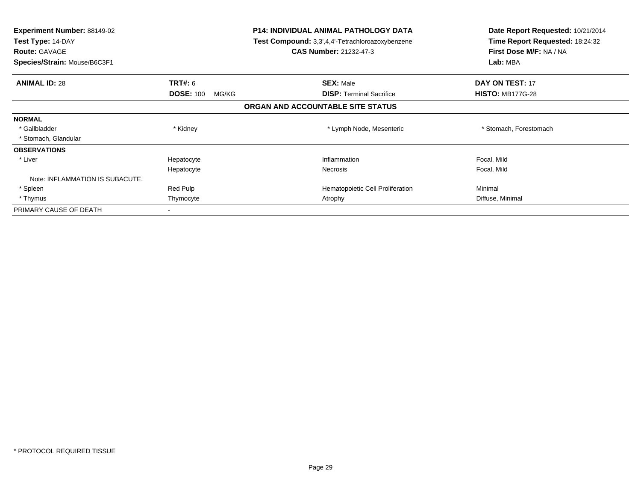| <b>Experiment Number: 88149-02</b><br>Test Type: 14-DAY<br><b>Route: GAVAGE</b><br>Species/Strain: Mouse/B6C3F1 |                           | <b>P14: INDIVIDUAL ANIMAL PATHOLOGY DATA</b><br>Test Compound: 3,3',4,4'-Tetrachloroazoxybenzene<br><b>CAS Number: 21232-47-3</b> | Date Report Requested: 10/21/2014<br>Time Report Requested: 18:24:32<br>First Dose M/F: NA / NA<br>Lab: MBA |
|-----------------------------------------------------------------------------------------------------------------|---------------------------|-----------------------------------------------------------------------------------------------------------------------------------|-------------------------------------------------------------------------------------------------------------|
| <b>ANIMAL ID: 28</b>                                                                                            | <b>TRT#:</b> 6            | <b>SEX: Male</b>                                                                                                                  | DAY ON TEST: 17                                                                                             |
|                                                                                                                 | <b>DOSE: 100</b><br>MG/KG | <b>DISP:</b> Terminal Sacrifice                                                                                                   | <b>HISTO: MB177G-28</b>                                                                                     |
|                                                                                                                 |                           | ORGAN AND ACCOUNTABLE SITE STATUS                                                                                                 |                                                                                                             |
| <b>NORMAL</b>                                                                                                   |                           |                                                                                                                                   |                                                                                                             |
| * Gallbladder                                                                                                   | * Kidney                  | * Lymph Node, Mesenteric                                                                                                          | * Stomach, Forestomach                                                                                      |
| * Stomach, Glandular                                                                                            |                           |                                                                                                                                   |                                                                                                             |
| <b>OBSERVATIONS</b>                                                                                             |                           |                                                                                                                                   |                                                                                                             |
| * Liver                                                                                                         | Hepatocyte                | Inflammation                                                                                                                      | Focal, Mild                                                                                                 |
|                                                                                                                 | Hepatocyte                | Necrosis                                                                                                                          | Focal, Mild                                                                                                 |
| Note: INFLAMMATION IS SUBACUTE.                                                                                 |                           |                                                                                                                                   |                                                                                                             |
| * Spleen                                                                                                        | Red Pulp                  | Hematopoietic Cell Proliferation                                                                                                  | Minimal                                                                                                     |
| * Thymus                                                                                                        | Thymocyte                 | Atrophy                                                                                                                           | Diffuse, Minimal                                                                                            |
| PRIMARY CAUSE OF DEATH                                                                                          |                           |                                                                                                                                   |                                                                                                             |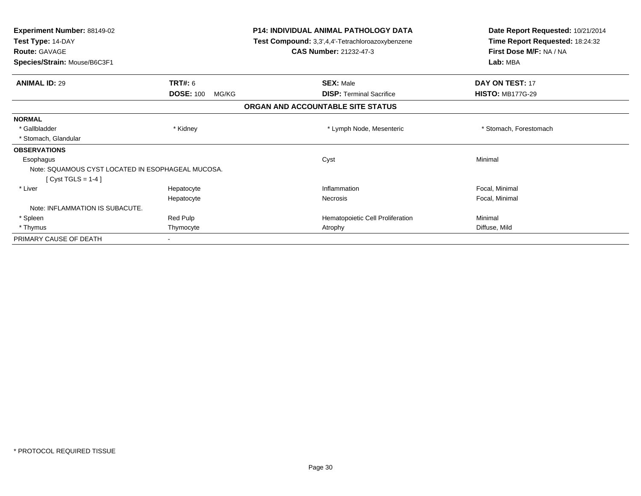| <b>Experiment Number: 88149-02</b><br>Test Type: 14-DAY<br><b>Route: GAVAGE</b><br>Species/Strain: Mouse/B6C3F1 |                           | <b>P14: INDIVIDUAL ANIMAL PATHOLOGY DATA</b><br>Test Compound: 3,3',4,4'-Tetrachloroazoxybenzene<br><b>CAS Number: 21232-47-3</b> | Date Report Requested: 10/21/2014<br>Time Report Requested: 18:24:32<br>First Dose M/F: NA / NA<br>Lab: MBA |
|-----------------------------------------------------------------------------------------------------------------|---------------------------|-----------------------------------------------------------------------------------------------------------------------------------|-------------------------------------------------------------------------------------------------------------|
| <b>ANIMAL ID: 29</b>                                                                                            | TRT#: 6                   | <b>SEX: Male</b>                                                                                                                  | DAY ON TEST: 17                                                                                             |
|                                                                                                                 | <b>DOSE: 100</b><br>MG/KG | <b>DISP:</b> Terminal Sacrifice                                                                                                   | <b>HISTO: MB177G-29</b>                                                                                     |
|                                                                                                                 |                           | ORGAN AND ACCOUNTABLE SITE STATUS                                                                                                 |                                                                                                             |
| <b>NORMAL</b>                                                                                                   |                           |                                                                                                                                   |                                                                                                             |
| * Gallbladder                                                                                                   | * Kidney                  | * Lymph Node, Mesenteric                                                                                                          | * Stomach, Forestomach                                                                                      |
| * Stomach, Glandular                                                                                            |                           |                                                                                                                                   |                                                                                                             |
| <b>OBSERVATIONS</b>                                                                                             |                           |                                                                                                                                   |                                                                                                             |
| Esophagus                                                                                                       |                           | Cyst                                                                                                                              | Minimal                                                                                                     |
| Note: SQUAMOUS CYST LOCATED IN ESOPHAGEAL MUCOSA.<br>$[Cyst TGLS = 1-4]$                                        |                           |                                                                                                                                   |                                                                                                             |
| * Liver                                                                                                         | Hepatocyte                | Inflammation                                                                                                                      | Focal, Minimal                                                                                              |
|                                                                                                                 | Hepatocyte                | Necrosis                                                                                                                          | Focal, Minimal                                                                                              |
| Note: INFLAMMATION IS SUBACUTE.                                                                                 |                           |                                                                                                                                   |                                                                                                             |
| * Spleen                                                                                                        | Red Pulp                  | Hematopoietic Cell Proliferation                                                                                                  | Minimal                                                                                                     |
| * Thymus                                                                                                        | Thymocyte                 | Atrophy                                                                                                                           | Diffuse, Mild                                                                                               |
| PRIMARY CAUSE OF DEATH                                                                                          |                           |                                                                                                                                   |                                                                                                             |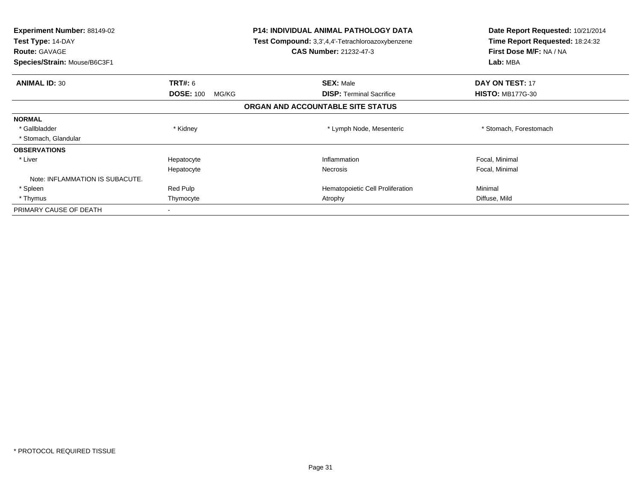| <b>Experiment Number: 88149-02</b><br>Test Type: 14-DAY<br><b>Route: GAVAGE</b><br>Species/Strain: Mouse/B6C3F1 |                           | <b>P14: INDIVIDUAL ANIMAL PATHOLOGY DATA</b><br>Test Compound: 3,3',4,4'-Tetrachloroazoxybenzene<br><b>CAS Number: 21232-47-3</b> | Date Report Requested: 10/21/2014<br>Time Report Requested: 18:24:32<br>First Dose M/F: NA / NA<br>Lab: MBA |
|-----------------------------------------------------------------------------------------------------------------|---------------------------|-----------------------------------------------------------------------------------------------------------------------------------|-------------------------------------------------------------------------------------------------------------|
| <b>ANIMAL ID: 30</b>                                                                                            | <b>TRT#:</b> 6            | <b>SEX: Male</b>                                                                                                                  | DAY ON TEST: 17                                                                                             |
|                                                                                                                 | <b>DOSE: 100</b><br>MG/KG | <b>DISP:</b> Terminal Sacrifice                                                                                                   | <b>HISTO: MB177G-30</b>                                                                                     |
|                                                                                                                 |                           | ORGAN AND ACCOUNTABLE SITE STATUS                                                                                                 |                                                                                                             |
| <b>NORMAL</b>                                                                                                   |                           |                                                                                                                                   |                                                                                                             |
| * Gallbladder                                                                                                   | * Kidney                  | * Lymph Node, Mesenteric                                                                                                          | * Stomach, Forestomach                                                                                      |
| * Stomach, Glandular                                                                                            |                           |                                                                                                                                   |                                                                                                             |
| <b>OBSERVATIONS</b>                                                                                             |                           |                                                                                                                                   |                                                                                                             |
| * Liver                                                                                                         | Hepatocyte                | Inflammation                                                                                                                      | Focal, Minimal                                                                                              |
|                                                                                                                 | Hepatocyte                | Necrosis                                                                                                                          | Focal, Minimal                                                                                              |
| Note: INFLAMMATION IS SUBACUTE.                                                                                 |                           |                                                                                                                                   |                                                                                                             |
| * Spleen                                                                                                        | Red Pulp                  | Hematopoietic Cell Proliferation                                                                                                  | Minimal                                                                                                     |
| * Thymus                                                                                                        | Thymocyte                 | Atrophy                                                                                                                           | Diffuse, Mild                                                                                               |
| PRIMARY CAUSE OF DEATH                                                                                          |                           |                                                                                                                                   |                                                                                                             |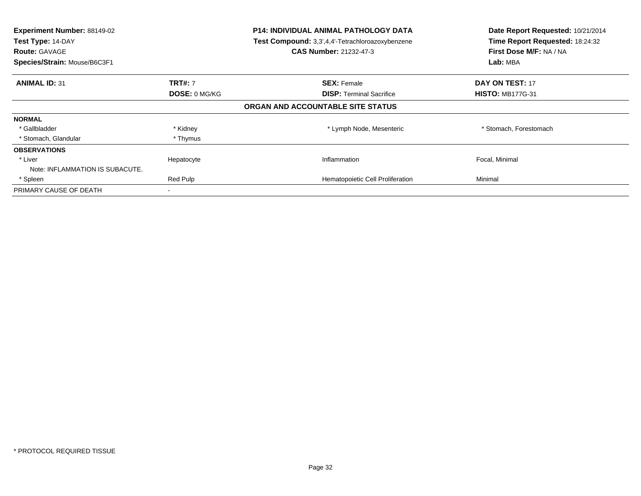| Experiment Number: 88149-02<br>Test Type: 14-DAY<br><b>Route: GAVAGE</b><br>Species/Strain: Mouse/B6C3F1 |                | <b>P14: INDIVIDUAL ANIMAL PATHOLOGY DATA</b><br>Test Compound: 3,3',4,4'-Tetrachloroazoxybenzene<br><b>CAS Number: 21232-47-3</b> | Date Report Requested: 10/21/2014<br>Time Report Requested: 18:24:32<br>First Dose M/F: NA / NA<br>Lab: MBA |
|----------------------------------------------------------------------------------------------------------|----------------|-----------------------------------------------------------------------------------------------------------------------------------|-------------------------------------------------------------------------------------------------------------|
| <b>ANIMAL ID: 31</b>                                                                                     | <b>TRT#: 7</b> | <b>SEX: Female</b>                                                                                                                | <b>DAY ON TEST: 17</b>                                                                                      |
|                                                                                                          | DOSE: 0 MG/KG  | <b>DISP: Terminal Sacrifice</b>                                                                                                   | <b>HISTO: MB177G-31</b>                                                                                     |
|                                                                                                          |                | ORGAN AND ACCOUNTABLE SITE STATUS                                                                                                 |                                                                                                             |
| <b>NORMAL</b>                                                                                            |                |                                                                                                                                   |                                                                                                             |
| * Gallbladder                                                                                            | * Kidney       | * Lymph Node, Mesenteric                                                                                                          | * Stomach, Forestomach                                                                                      |
| * Stomach, Glandular                                                                                     | * Thymus       |                                                                                                                                   |                                                                                                             |
| <b>OBSERVATIONS</b>                                                                                      |                |                                                                                                                                   |                                                                                                             |
| * Liver                                                                                                  | Hepatocyte     | Inflammation                                                                                                                      | Focal, Minimal                                                                                              |
| Note: INFLAMMATION IS SUBACUTE.                                                                          |                |                                                                                                                                   |                                                                                                             |
| * Spleen                                                                                                 | Red Pulp       | Hematopoietic Cell Proliferation                                                                                                  | Minimal                                                                                                     |
| PRIMARY CAUSE OF DEATH                                                                                   |                |                                                                                                                                   |                                                                                                             |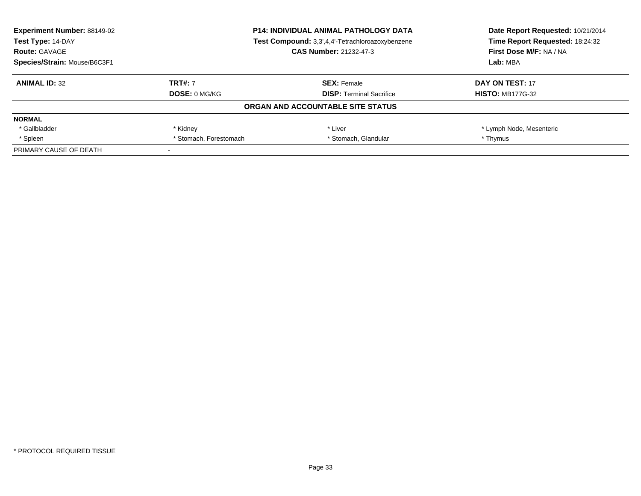| <b>Experiment Number: 88149-02</b> | <b>P14: INDIVIDUAL ANIMAL PATHOLOGY DATA</b>     | Date Report Requested: 10/21/2014 |                                 |
|------------------------------------|--------------------------------------------------|-----------------------------------|---------------------------------|
| Test Type: 14-DAY                  | Test Compound: 3,3',4,4'-Tetrachloroazoxybenzene |                                   | Time Report Requested: 18:24:32 |
| <b>Route: GAVAGE</b>               |                                                  | CAS Number: 21232-47-3            | First Dose M/F: NA / NA         |
| Species/Strain: Mouse/B6C3F1       |                                                  |                                   | Lab: MBA                        |
| <b>ANIMAL ID: 32</b>               | <b>TRT#: 7</b>                                   | <b>SEX: Female</b>                | DAY ON TEST: 17                 |
|                                    | DOSE: 0 MG/KG                                    | <b>DISP:</b> Terminal Sacrifice   | <b>HISTO: MB177G-32</b>         |
|                                    |                                                  | ORGAN AND ACCOUNTABLE SITE STATUS |                                 |
| <b>NORMAL</b>                      |                                                  |                                   |                                 |
| * Gallbladder                      | * Kidney                                         | * Liver                           | * Lymph Node, Mesenteric        |
| * Spleen                           | * Stomach, Forestomach                           | * Stomach, Glandular              | * Thymus                        |
| PRIMARY CAUSE OF DEATH             |                                                  |                                   |                                 |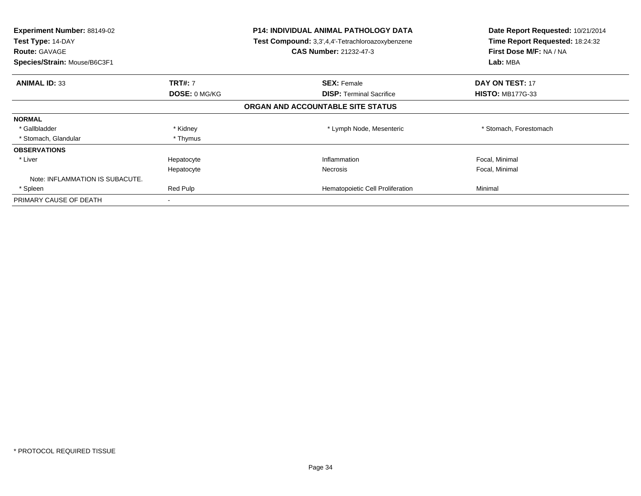| Experiment Number: 88149-02<br>Test Type: 14-DAY<br><b>Route: GAVAGE</b><br>Species/Strain: Mouse/B6C3F1 |                | <b>P14: INDIVIDUAL ANIMAL PATHOLOGY DATA</b><br>Test Compound: 3,3',4,4'-Tetrachloroazoxybenzene<br><b>CAS Number: 21232-47-3</b> | Date Report Requested: 10/21/2014<br>Time Report Requested: 18:24:32<br>First Dose M/F: NA / NA<br>Lab: MBA |
|----------------------------------------------------------------------------------------------------------|----------------|-----------------------------------------------------------------------------------------------------------------------------------|-------------------------------------------------------------------------------------------------------------|
| <b>ANIMAL ID: 33</b>                                                                                     | <b>TRT#: 7</b> | <b>SEX: Female</b>                                                                                                                | <b>DAY ON TEST: 17</b>                                                                                      |
|                                                                                                          | DOSE: 0 MG/KG  | <b>DISP:</b> Terminal Sacrifice                                                                                                   | <b>HISTO: MB177G-33</b>                                                                                     |
|                                                                                                          |                | ORGAN AND ACCOUNTABLE SITE STATUS                                                                                                 |                                                                                                             |
| <b>NORMAL</b>                                                                                            |                |                                                                                                                                   |                                                                                                             |
| * Gallbladder                                                                                            | * Kidney       | * Lymph Node, Mesenteric                                                                                                          | * Stomach, Forestomach                                                                                      |
| * Stomach, Glandular                                                                                     | * Thymus       |                                                                                                                                   |                                                                                                             |
| <b>OBSERVATIONS</b>                                                                                      |                |                                                                                                                                   |                                                                                                             |
| * Liver                                                                                                  | Hepatocyte     | Inflammation                                                                                                                      | Focal, Minimal                                                                                              |
|                                                                                                          | Hepatocyte     | <b>Necrosis</b>                                                                                                                   | Focal, Minimal                                                                                              |
| Note: INFLAMMATION IS SUBACUTE.                                                                          |                |                                                                                                                                   |                                                                                                             |
| * Spleen                                                                                                 | Red Pulp       | Hematopoietic Cell Proliferation                                                                                                  | Minimal                                                                                                     |
| PRIMARY CAUSE OF DEATH                                                                                   | $\,$           |                                                                                                                                   |                                                                                                             |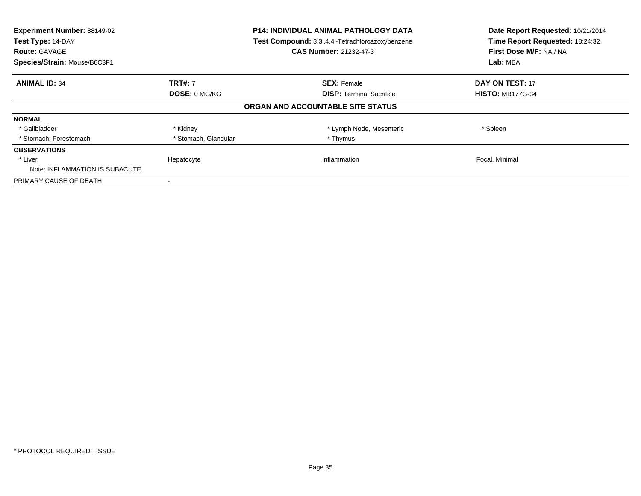| Experiment Number: 88149-02<br>Test Type: 14-DAY<br><b>Route: GAVAGE</b><br>Species/Strain: Mouse/B6C3F1 |                      | <b>P14: INDIVIDUAL ANIMAL PATHOLOGY DATA</b><br>Test Compound: 3,3',4,4'-Tetrachloroazoxybenzene<br><b>CAS Number: 21232-47-3</b> | Date Report Requested: 10/21/2014<br>Time Report Requested: 18:24:32<br>First Dose M/F: NA / NA<br>Lab: MBA |
|----------------------------------------------------------------------------------------------------------|----------------------|-----------------------------------------------------------------------------------------------------------------------------------|-------------------------------------------------------------------------------------------------------------|
| <b>ANIMAL ID: 34</b>                                                                                     | <b>TRT#: 7</b>       | <b>SEX: Female</b>                                                                                                                | <b>DAY ON TEST: 17</b>                                                                                      |
|                                                                                                          | DOSE: 0 MG/KG        | <b>DISP:</b> Terminal Sacrifice                                                                                                   | <b>HISTO: MB177G-34</b>                                                                                     |
|                                                                                                          |                      | ORGAN AND ACCOUNTABLE SITE STATUS                                                                                                 |                                                                                                             |
| <b>NORMAL</b>                                                                                            |                      |                                                                                                                                   |                                                                                                             |
| * Gallbladder                                                                                            | * Kidney             | * Lymph Node, Mesenteric                                                                                                          | * Spleen                                                                                                    |
| * Stomach, Forestomach                                                                                   | * Stomach, Glandular | * Thymus                                                                                                                          |                                                                                                             |
| <b>OBSERVATIONS</b>                                                                                      |                      |                                                                                                                                   |                                                                                                             |
| * Liver<br>Note: INFLAMMATION IS SUBACUTE.                                                               | Hepatocyte           | Inflammation                                                                                                                      | Focal, Minimal                                                                                              |
| PRIMARY CAUSE OF DEATH                                                                                   |                      |                                                                                                                                   |                                                                                                             |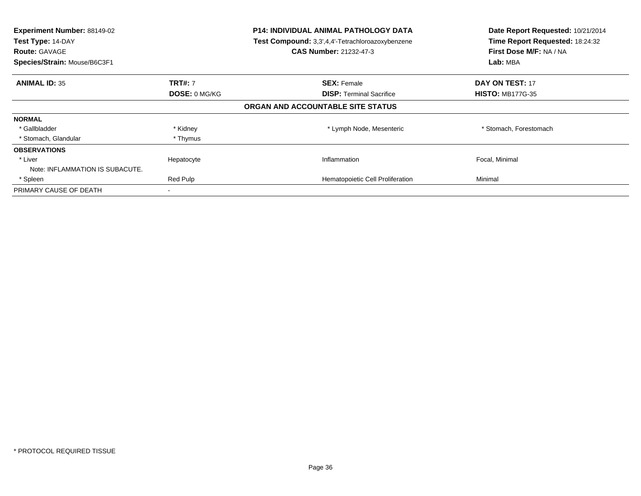| Experiment Number: 88149-02<br>Test Type: 14-DAY<br><b>Route: GAVAGE</b><br>Species/Strain: Mouse/B6C3F1 |                | <b>P14: INDIVIDUAL ANIMAL PATHOLOGY DATA</b><br>Test Compound: 3,3',4,4'-Tetrachloroazoxybenzene<br><b>CAS Number: 21232-47-3</b> | Date Report Requested: 10/21/2014<br>Time Report Requested: 18:24:32<br>First Dose M/F: NA / NA<br>Lab: MBA |
|----------------------------------------------------------------------------------------------------------|----------------|-----------------------------------------------------------------------------------------------------------------------------------|-------------------------------------------------------------------------------------------------------------|
| <b>ANIMAL ID: 35</b>                                                                                     | <b>TRT#: 7</b> | <b>SEX: Female</b>                                                                                                                | <b>DAY ON TEST: 17</b>                                                                                      |
|                                                                                                          | DOSE: 0 MG/KG  | <b>DISP: Terminal Sacrifice</b>                                                                                                   | <b>HISTO: MB177G-35</b>                                                                                     |
|                                                                                                          |                | ORGAN AND ACCOUNTABLE SITE STATUS                                                                                                 |                                                                                                             |
| <b>NORMAL</b>                                                                                            |                |                                                                                                                                   |                                                                                                             |
| * Gallbladder                                                                                            | * Kidney       | * Lymph Node, Mesenteric                                                                                                          | * Stomach, Forestomach                                                                                      |
| * Stomach, Glandular                                                                                     | * Thymus       |                                                                                                                                   |                                                                                                             |
| <b>OBSERVATIONS</b>                                                                                      |                |                                                                                                                                   |                                                                                                             |
| * Liver                                                                                                  | Hepatocyte     | Inflammation                                                                                                                      | Focal, Minimal                                                                                              |
| Note: INFLAMMATION IS SUBACUTE.                                                                          |                |                                                                                                                                   |                                                                                                             |
| * Spleen                                                                                                 | Red Pulp       | Hematopoietic Cell Proliferation                                                                                                  | Minimal                                                                                                     |
| PRIMARY CAUSE OF DEATH                                                                                   |                |                                                                                                                                   |                                                                                                             |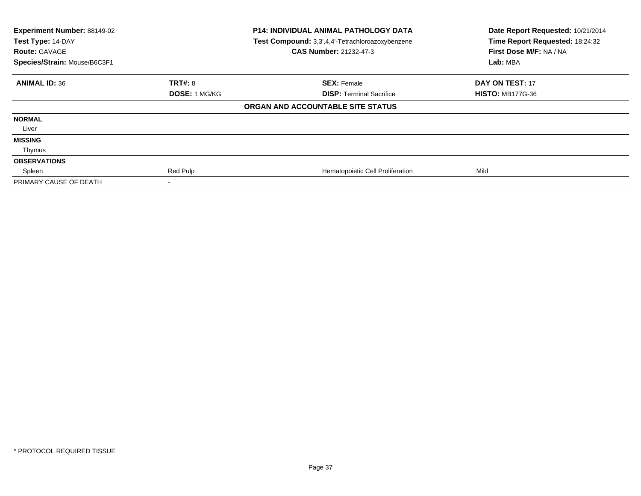| Experiment Number: 88149-02<br>Test Type: 14-DAY<br><b>Route: GAVAGE</b><br>Species/Strain: Mouse/B6C3F1 |                      | <b>P14: INDIVIDUAL ANIMAL PATHOLOGY DATA</b><br>Test Compound: 3,3',4,4'-Tetrachloroazoxybenzene<br><b>CAS Number: 21232-47-3</b> | Date Report Requested: 10/21/2014<br>Time Report Requested: 18:24:32<br>First Dose M/F: NA / NA<br>Lab: MBA |
|----------------------------------------------------------------------------------------------------------|----------------------|-----------------------------------------------------------------------------------------------------------------------------------|-------------------------------------------------------------------------------------------------------------|
| <b>ANIMAL ID: 36</b>                                                                                     | <b>TRT#: 8</b>       | <b>SEX: Female</b>                                                                                                                | DAY ON TEST: 17                                                                                             |
|                                                                                                          | <b>DOSE: 1 MG/KG</b> | <b>DISP:</b> Terminal Sacrifice                                                                                                   | <b>HISTO: MB177G-36</b>                                                                                     |
|                                                                                                          |                      | ORGAN AND ACCOUNTABLE SITE STATUS                                                                                                 |                                                                                                             |
| <b>NORMAL</b>                                                                                            |                      |                                                                                                                                   |                                                                                                             |
| Liver                                                                                                    |                      |                                                                                                                                   |                                                                                                             |
| <b>MISSING</b>                                                                                           |                      |                                                                                                                                   |                                                                                                             |
| Thymus                                                                                                   |                      |                                                                                                                                   |                                                                                                             |
| <b>OBSERVATIONS</b>                                                                                      |                      |                                                                                                                                   |                                                                                                             |
| Spleen                                                                                                   | Red Pulp             | Hematopoietic Cell Proliferation                                                                                                  | Mild                                                                                                        |
| PRIMARY CAUSE OF DEATH                                                                                   |                      |                                                                                                                                   |                                                                                                             |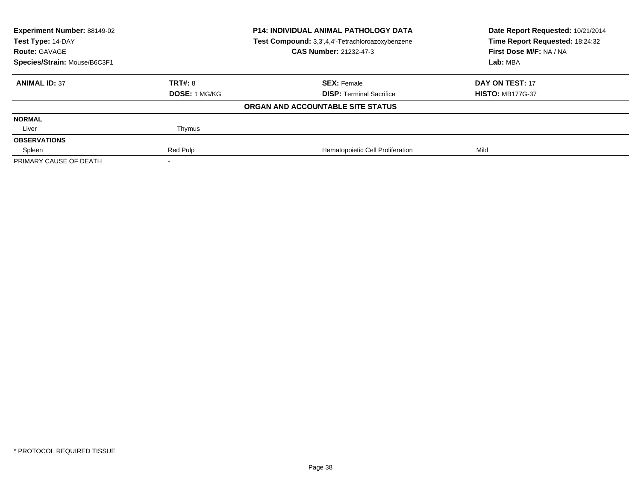| <b>Experiment Number: 88149-02</b><br><b>P14: INDIVIDUAL ANIMAL PATHOLOGY DATA</b><br>Test Compound: 3,3',4,4'-Tetrachloroazoxybenzene<br>Test Type: 14-DAY |               | Date Report Requested: 10/21/2014<br>Time Report Requested: 18:24:32 |                         |  |
|-------------------------------------------------------------------------------------------------------------------------------------------------------------|---------------|----------------------------------------------------------------------|-------------------------|--|
| <b>Route: GAVAGE</b>                                                                                                                                        |               | <b>CAS Number: 21232-47-3</b>                                        | First Dose M/F: NA / NA |  |
| Species/Strain: Mouse/B6C3F1                                                                                                                                |               |                                                                      | Lab: MBA                |  |
| <b>ANIMAL ID: 37</b>                                                                                                                                        | TRT#: 8       | <b>SEX: Female</b>                                                   | DAY ON TEST: 17         |  |
|                                                                                                                                                             | DOSE: 1 MG/KG | <b>DISP: Terminal Sacrifice</b>                                      | <b>HISTO: MB177G-37</b> |  |
|                                                                                                                                                             |               | ORGAN AND ACCOUNTABLE SITE STATUS                                    |                         |  |
| <b>NORMAL</b>                                                                                                                                               |               |                                                                      |                         |  |
| Liver                                                                                                                                                       | Thymus        |                                                                      |                         |  |
| <b>OBSERVATIONS</b>                                                                                                                                         |               |                                                                      |                         |  |
| Spleen                                                                                                                                                      | Red Pulp      | Hematopoietic Cell Proliferation                                     | Mild                    |  |
| PRIMARY CAUSE OF DEATH                                                                                                                                      |               |                                                                      |                         |  |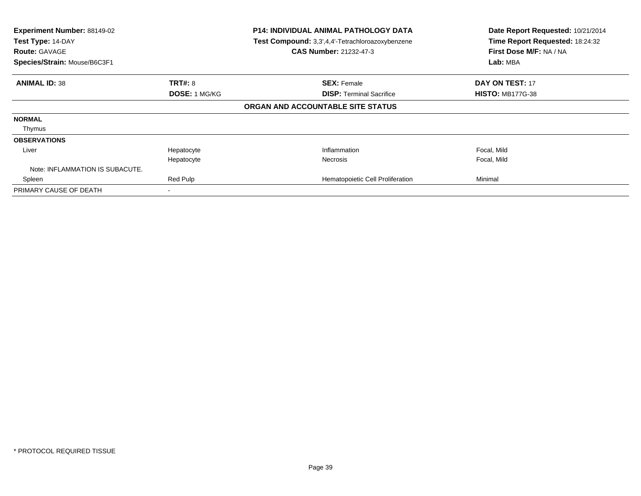| Experiment Number: 88149-02<br>Test Type: 14-DAY<br><b>Route: GAVAGE</b><br>Species/Strain: Mouse/B6C3F1 | <b>P14: INDIVIDUAL ANIMAL PATHOLOGY DATA</b><br>Test Compound: 3,3',4,4'-Tetrachloroazoxybenzene<br><b>CAS Number: 21232-47-3</b> |                                   | Date Report Requested: 10/21/2014<br>Time Report Requested: 18:24:32<br>First Dose M/F: NA / NA<br>Lab: MBA |
|----------------------------------------------------------------------------------------------------------|-----------------------------------------------------------------------------------------------------------------------------------|-----------------------------------|-------------------------------------------------------------------------------------------------------------|
| <b>ANIMAL ID: 38</b>                                                                                     | <b>TRT#: 8</b>                                                                                                                    | <b>SEX: Female</b>                | <b>DAY ON TEST: 17</b>                                                                                      |
|                                                                                                          | DOSE: 1 MG/KG                                                                                                                     | <b>DISP:</b> Terminal Sacrifice   | <b>HISTO: MB177G-38</b>                                                                                     |
|                                                                                                          |                                                                                                                                   | ORGAN AND ACCOUNTABLE SITE STATUS |                                                                                                             |
| <b>NORMAL</b>                                                                                            |                                                                                                                                   |                                   |                                                                                                             |
| Thymus                                                                                                   |                                                                                                                                   |                                   |                                                                                                             |
| <b>OBSERVATIONS</b>                                                                                      |                                                                                                                                   |                                   |                                                                                                             |
| Liver                                                                                                    | Hepatocyte                                                                                                                        | Inflammation                      | Focal, Mild                                                                                                 |
|                                                                                                          | Hepatocyte                                                                                                                        | Necrosis                          | Focal, Mild                                                                                                 |
| Note: INFLAMMATION IS SUBACUTE.                                                                          |                                                                                                                                   |                                   |                                                                                                             |
| Spleen                                                                                                   | Red Pulp                                                                                                                          | Hematopoietic Cell Proliferation  | Minimal                                                                                                     |
| PRIMARY CAUSE OF DEATH                                                                                   |                                                                                                                                   |                                   |                                                                                                             |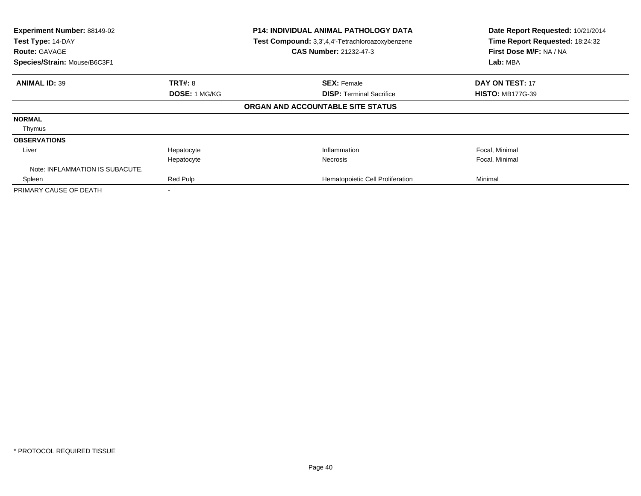| Experiment Number: 88149-02<br>Test Type: 14-DAY<br><b>Route: GAVAGE</b><br>Species/Strain: Mouse/B6C3F1 | <b>P14: INDIVIDUAL ANIMAL PATHOLOGY DATA</b><br>Test Compound: 3,3',4,4'-Tetrachloroazoxybenzene<br><b>CAS Number: 21232-47-3</b> |                                   | Date Report Requested: 10/21/2014<br>Time Report Requested: 18:24:32<br>First Dose M/F: NA / NA<br>Lab: MBA |
|----------------------------------------------------------------------------------------------------------|-----------------------------------------------------------------------------------------------------------------------------------|-----------------------------------|-------------------------------------------------------------------------------------------------------------|
|                                                                                                          |                                                                                                                                   |                                   |                                                                                                             |
| <b>ANIMAL ID: 39</b>                                                                                     | <b>TRT#: 8</b>                                                                                                                    | <b>SEX: Female</b>                | <b>DAY ON TEST: 17</b>                                                                                      |
|                                                                                                          | <b>DOSE: 1 MG/KG</b>                                                                                                              | <b>DISP:</b> Terminal Sacrifice   | <b>HISTO: MB177G-39</b>                                                                                     |
|                                                                                                          |                                                                                                                                   | ORGAN AND ACCOUNTABLE SITE STATUS |                                                                                                             |
| <b>NORMAL</b>                                                                                            |                                                                                                                                   |                                   |                                                                                                             |
| Thymus                                                                                                   |                                                                                                                                   |                                   |                                                                                                             |
| <b>OBSERVATIONS</b>                                                                                      |                                                                                                                                   |                                   |                                                                                                             |
| Liver                                                                                                    | Hepatocyte                                                                                                                        | Inflammation                      | Focal, Minimal                                                                                              |
|                                                                                                          | Hepatocyte                                                                                                                        | <b>Necrosis</b>                   | Focal, Minimal                                                                                              |
| Note: INFLAMMATION IS SUBACUTE.                                                                          |                                                                                                                                   |                                   |                                                                                                             |
| Spleen                                                                                                   | Red Pulp                                                                                                                          | Hematopoietic Cell Proliferation  | Minimal                                                                                                     |
| PRIMARY CAUSE OF DEATH                                                                                   |                                                                                                                                   |                                   |                                                                                                             |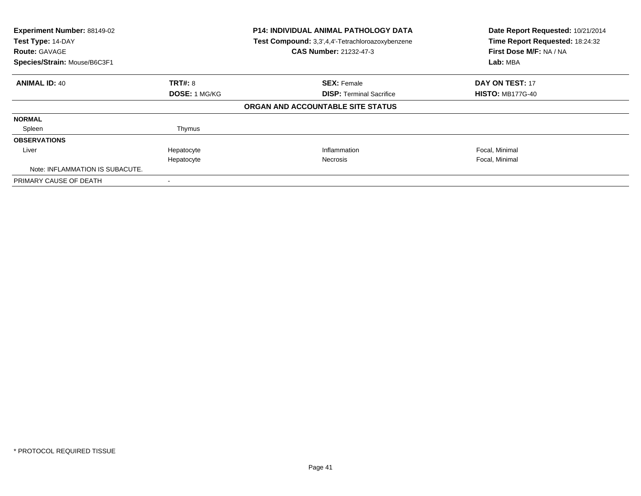| Experiment Number: 88149-02<br>Test Type: 14-DAY<br><b>Route: GAVAGE</b> |                      | <b>P14: INDIVIDUAL ANIMAL PATHOLOGY DATA</b><br>Test Compound: 3,3',4,4'-Tetrachloroazoxybenzene<br><b>CAS Number: 21232-47-3</b> | Date Report Requested: 10/21/2014<br>Time Report Requested: 18:24:32<br>First Dose M/F: NA / NA |
|--------------------------------------------------------------------------|----------------------|-----------------------------------------------------------------------------------------------------------------------------------|-------------------------------------------------------------------------------------------------|
| Species/Strain: Mouse/B6C3F1                                             |                      |                                                                                                                                   | Lab: MBA                                                                                        |
| <b>ANIMAL ID: 40</b>                                                     | <b>TRT#: 8</b>       | <b>SEX: Female</b>                                                                                                                | DAY ON TEST: 17                                                                                 |
|                                                                          | <b>DOSE: 1 MG/KG</b> | <b>DISP:</b> Terminal Sacrifice                                                                                                   | <b>HISTO: MB177G-40</b>                                                                         |
|                                                                          |                      | ORGAN AND ACCOUNTABLE SITE STATUS                                                                                                 |                                                                                                 |
| <b>NORMAL</b>                                                            |                      |                                                                                                                                   |                                                                                                 |
| Spleen                                                                   | Thymus               |                                                                                                                                   |                                                                                                 |
| <b>OBSERVATIONS</b>                                                      |                      |                                                                                                                                   |                                                                                                 |
| Liver                                                                    | Hepatocyte           | Inflammation                                                                                                                      | Focal, Minimal                                                                                  |
|                                                                          | Hepatocyte           | <b>Necrosis</b>                                                                                                                   | Focal, Minimal                                                                                  |
| Note: INFLAMMATION IS SUBACUTE.                                          |                      |                                                                                                                                   |                                                                                                 |
| PRIMARY CAUSE OF DEATH                                                   |                      |                                                                                                                                   |                                                                                                 |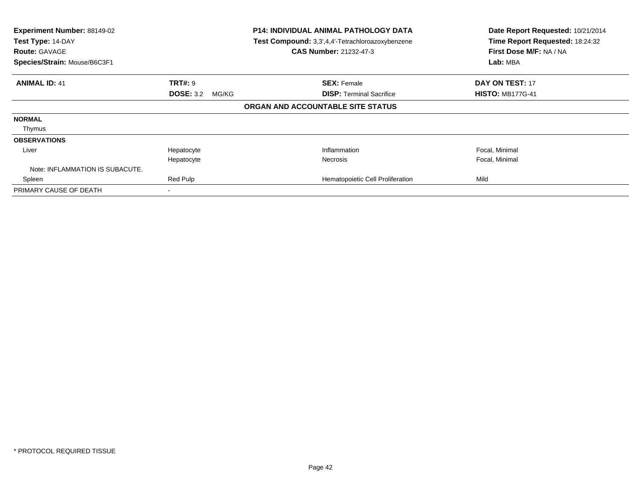| Experiment Number: 88149-02<br>Test Type: 14-DAY<br><b>Route: GAVAGE</b><br>Species/Strain: Mouse/B6C3F1 | <b>P14: INDIVIDUAL ANIMAL PATHOLOGY DATA</b><br>Test Compound: 3,3',4,4'-Tetrachloroazoxybenzene<br><b>CAS Number: 21232-47-3</b> |                                   | Date Report Requested: 10/21/2014<br>Time Report Requested: 18:24:32<br>First Dose M/F: NA / NA<br>Lab: MBA |
|----------------------------------------------------------------------------------------------------------|-----------------------------------------------------------------------------------------------------------------------------------|-----------------------------------|-------------------------------------------------------------------------------------------------------------|
| <b>ANIMAL ID: 41</b>                                                                                     | <b>TRT#: 9</b>                                                                                                                    | <b>SEX: Female</b>                | <b>DAY ON TEST: 17</b>                                                                                      |
|                                                                                                          | <b>DOSE: 3.2</b><br>MG/KG                                                                                                         | <b>DISP: Terminal Sacrifice</b>   | <b>HISTO: MB177G-41</b>                                                                                     |
|                                                                                                          |                                                                                                                                   | ORGAN AND ACCOUNTABLE SITE STATUS |                                                                                                             |
| <b>NORMAL</b>                                                                                            |                                                                                                                                   |                                   |                                                                                                             |
| Thymus                                                                                                   |                                                                                                                                   |                                   |                                                                                                             |
| <b>OBSERVATIONS</b>                                                                                      |                                                                                                                                   |                                   |                                                                                                             |
| Liver                                                                                                    | Hepatocyte                                                                                                                        | Inflammation                      | Focal, Minimal                                                                                              |
|                                                                                                          | Hepatocyte                                                                                                                        | <b>Necrosis</b>                   | Focal, Minimal                                                                                              |
| Note: INFLAMMATION IS SUBACUTE.                                                                          |                                                                                                                                   |                                   |                                                                                                             |
| Spleen                                                                                                   | Red Pulp                                                                                                                          | Hematopoietic Cell Proliferation  | Mild                                                                                                        |
| PRIMARY CAUSE OF DEATH                                                                                   |                                                                                                                                   |                                   |                                                                                                             |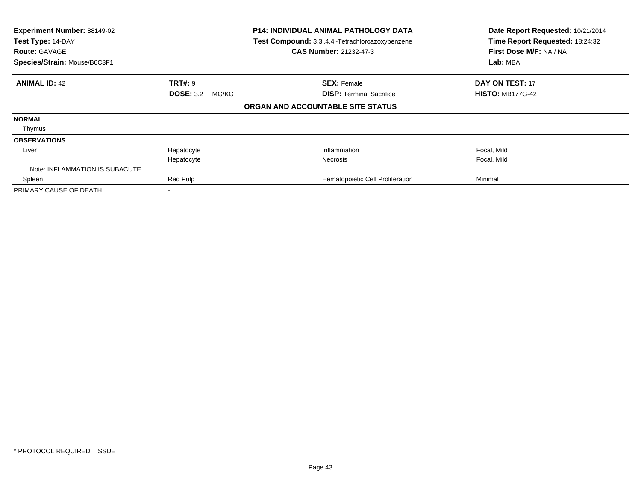| Experiment Number: 88149-02<br>Test Type: 14-DAY<br><b>Route: GAVAGE</b><br>Species/Strain: Mouse/B6C3F1 | <b>P14: INDIVIDUAL ANIMAL PATHOLOGY DATA</b><br>Test Compound: 3,3',4,4'-Tetrachloroazoxybenzene<br><b>CAS Number: 21232-47-3</b> |                                   | Date Report Requested: 10/21/2014<br>Time Report Requested: 18:24:32<br>First Dose M/F: NA / NA<br>Lab: MBA |                         |
|----------------------------------------------------------------------------------------------------------|-----------------------------------------------------------------------------------------------------------------------------------|-----------------------------------|-------------------------------------------------------------------------------------------------------------|-------------------------|
| <b>ANIMAL ID: 42</b>                                                                                     | <b>TRT#: 9</b>                                                                                                                    | <b>SEX: Female</b>                |                                                                                                             | DAY ON TEST: 17         |
|                                                                                                          | <b>DOSE: 3.2</b><br>MG/KG                                                                                                         | ORGAN AND ACCOUNTABLE SITE STATUS | <b>DISP: Terminal Sacrifice</b>                                                                             | <b>HISTO: MB177G-42</b> |
| <b>NORMAL</b>                                                                                            |                                                                                                                                   |                                   |                                                                                                             |                         |
| Thymus                                                                                                   |                                                                                                                                   |                                   |                                                                                                             |                         |
| <b>OBSERVATIONS</b>                                                                                      |                                                                                                                                   |                                   |                                                                                                             |                         |
| Liver                                                                                                    | Hepatocyte                                                                                                                        | Inflammation                      |                                                                                                             | Focal, Mild             |
|                                                                                                          | Hepatocyte                                                                                                                        | <b>Necrosis</b>                   |                                                                                                             | Focal, Mild             |
| Note: INFLAMMATION IS SUBACUTE.                                                                          |                                                                                                                                   |                                   |                                                                                                             |                         |
| Spleen                                                                                                   | Red Pulp                                                                                                                          |                                   | Hematopoietic Cell Proliferation                                                                            | Minimal                 |
| PRIMARY CAUSE OF DEATH                                                                                   |                                                                                                                                   |                                   |                                                                                                             |                         |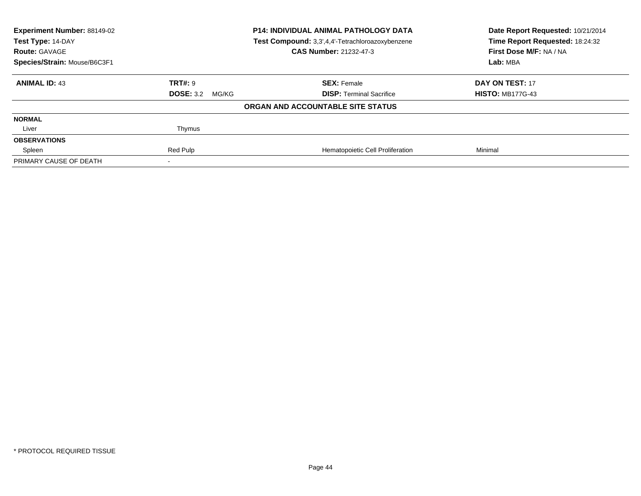| <b>Experiment Number: 88149-02</b> |                           | <b>P14: INDIVIDUAL ANIMAL PATHOLOGY DATA</b>                                      | Date Report Requested: 10/21/2014                          |
|------------------------------------|---------------------------|-----------------------------------------------------------------------------------|------------------------------------------------------------|
| Test Type: 14-DAY                  |                           | Test Compound: 3,3',4,4'-Tetrachloroazoxybenzene<br><b>CAS Number: 21232-47-3</b> | Time Report Requested: 18:24:32<br>First Dose M/F: NA / NA |
| <b>Route: GAVAGE</b>               |                           |                                                                                   |                                                            |
| Species/Strain: Mouse/B6C3F1       |                           |                                                                                   | Lab: MBA                                                   |
| <b>ANIMAL ID: 43</b>               | <b>TRT#: 9</b>            | <b>SEX: Female</b>                                                                | <b>DAY ON TEST: 17</b>                                     |
|                                    | <b>DOSE: 3.2</b><br>MG/KG | <b>DISP: Terminal Sacrifice</b>                                                   | <b>HISTO: MB177G-43</b>                                    |
|                                    |                           | ORGAN AND ACCOUNTABLE SITE STATUS                                                 |                                                            |
| <b>NORMAL</b>                      |                           |                                                                                   |                                                            |
| Liver                              | Thymus                    |                                                                                   |                                                            |
| <b>OBSERVATIONS</b>                |                           |                                                                                   |                                                            |
| Spleen                             | Red Pulp                  | Hematopoietic Cell Proliferation                                                  | Minimal                                                    |
| PRIMARY CAUSE OF DEATH             |                           |                                                                                   |                                                            |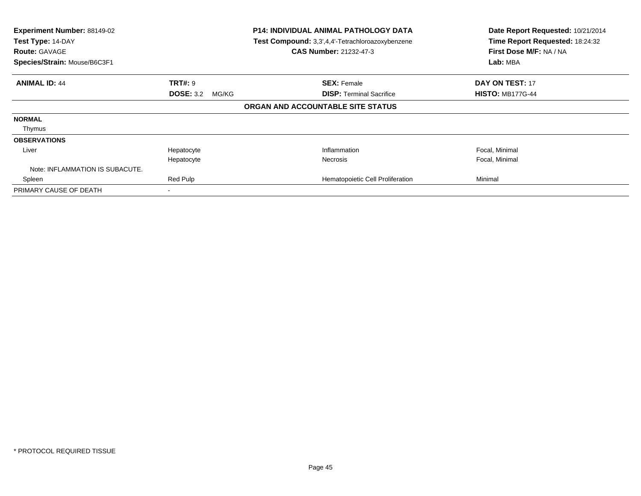| Experiment Number: 88149-02<br>Test Type: 14-DAY<br><b>Route: GAVAGE</b><br>Species/Strain: Mouse/B6C3F1 | <b>P14: INDIVIDUAL ANIMAL PATHOLOGY DATA</b><br>Test Compound: 3,3',4,4'-Tetrachloroazoxybenzene<br><b>CAS Number: 21232-47-3</b> |                                   | Date Report Requested: 10/21/2014<br>Time Report Requested: 18:24:32<br>First Dose M/F: NA / NA<br>Lab: MBA |
|----------------------------------------------------------------------------------------------------------|-----------------------------------------------------------------------------------------------------------------------------------|-----------------------------------|-------------------------------------------------------------------------------------------------------------|
| <b>ANIMAL ID: 44</b>                                                                                     | <b>TRT#: 9</b>                                                                                                                    | <b>SEX: Female</b>                | <b>DAY ON TEST: 17</b>                                                                                      |
|                                                                                                          | <b>DOSE: 3.2</b><br>MG/KG                                                                                                         | <b>DISP:</b> Terminal Sacrifice   | <b>HISTO: MB177G-44</b>                                                                                     |
|                                                                                                          |                                                                                                                                   | ORGAN AND ACCOUNTABLE SITE STATUS |                                                                                                             |
| <b>NORMAL</b>                                                                                            |                                                                                                                                   |                                   |                                                                                                             |
| Thymus                                                                                                   |                                                                                                                                   |                                   |                                                                                                             |
| <b>OBSERVATIONS</b>                                                                                      |                                                                                                                                   |                                   |                                                                                                             |
| Liver                                                                                                    | Hepatocyte                                                                                                                        | Inflammation                      | Focal, Minimal                                                                                              |
|                                                                                                          | Hepatocyte                                                                                                                        | Necrosis                          | Focal, Minimal                                                                                              |
| Note: INFLAMMATION IS SUBACUTE.                                                                          |                                                                                                                                   |                                   |                                                                                                             |
| Spleen                                                                                                   | Red Pulp                                                                                                                          | Hematopoietic Cell Proliferation  | Minimal                                                                                                     |
| PRIMARY CAUSE OF DEATH                                                                                   |                                                                                                                                   |                                   |                                                                                                             |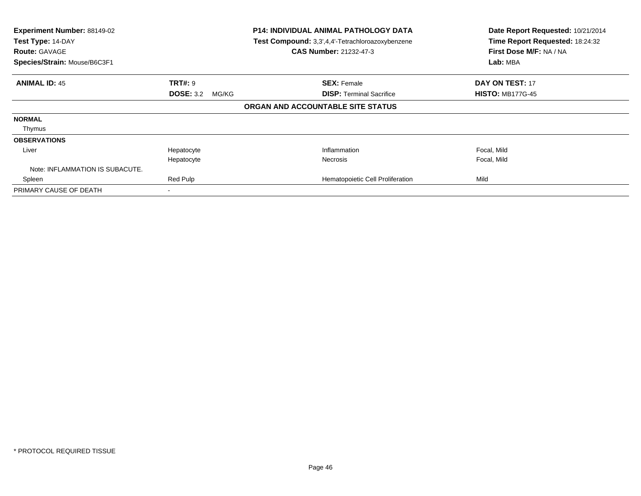| Experiment Number: 88149-02<br>Test Type: 14-DAY<br><b>Route: GAVAGE</b><br>Species/Strain: Mouse/B6C3F1 | <b>P14: INDIVIDUAL ANIMAL PATHOLOGY DATA</b><br>Test Compound: 3,3',4,4'-Tetrachloroazoxybenzene<br><b>CAS Number: 21232-47-3</b> |                                   | Date Report Requested: 10/21/2014<br>Time Report Requested: 18:24:32<br>First Dose M/F: NA / NA<br>Lab: MBA |
|----------------------------------------------------------------------------------------------------------|-----------------------------------------------------------------------------------------------------------------------------------|-----------------------------------|-------------------------------------------------------------------------------------------------------------|
| <b>ANIMAL ID: 45</b>                                                                                     | <b>TRT#: 9</b>                                                                                                                    | <b>SEX: Female</b>                | <b>DAY ON TEST: 17</b>                                                                                      |
|                                                                                                          | <b>DOSE: 3.2</b><br>MG/KG                                                                                                         | <b>DISP: Terminal Sacrifice</b>   | <b>HISTO: MB177G-45</b>                                                                                     |
|                                                                                                          |                                                                                                                                   | ORGAN AND ACCOUNTABLE SITE STATUS |                                                                                                             |
| <b>NORMAL</b>                                                                                            |                                                                                                                                   |                                   |                                                                                                             |
| Thymus                                                                                                   |                                                                                                                                   |                                   |                                                                                                             |
| <b>OBSERVATIONS</b>                                                                                      |                                                                                                                                   |                                   |                                                                                                             |
| Liver                                                                                                    | Hepatocyte                                                                                                                        | Inflammation                      | Focal, Mild                                                                                                 |
|                                                                                                          | Hepatocyte                                                                                                                        | <b>Necrosis</b>                   | Focal, Mild                                                                                                 |
| Note: INFLAMMATION IS SUBACUTE.                                                                          |                                                                                                                                   |                                   |                                                                                                             |
| Spleen                                                                                                   | Red Pulp                                                                                                                          | Hematopoietic Cell Proliferation  | Mild                                                                                                        |
| PRIMARY CAUSE OF DEATH                                                                                   |                                                                                                                                   |                                   |                                                                                                             |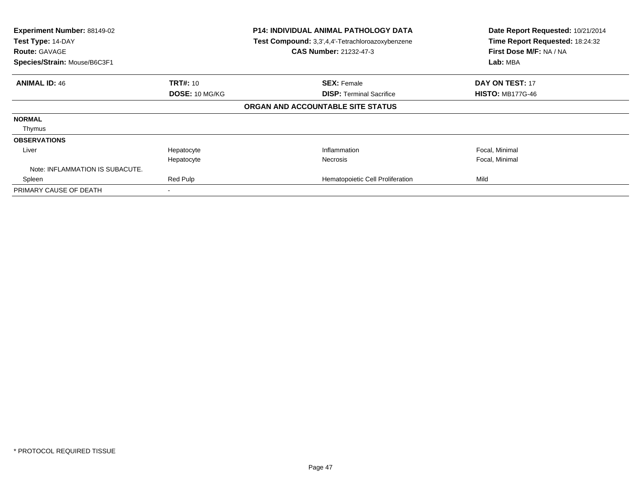| Experiment Number: 88149-02<br>Test Type: 14-DAY<br><b>Route: GAVAGE</b><br>Species/Strain: Mouse/B6C3F1 | <b>P14: INDIVIDUAL ANIMAL PATHOLOGY DATA</b><br>Test Compound: 3,3',4,4'-Tetrachloroazoxybenzene<br>CAS Number: 21232-47-3 |                                   | Date Report Requested: 10/21/2014<br>Time Report Requested: 18:24:32<br>First Dose M/F: NA / NA<br>Lab: MBA |
|----------------------------------------------------------------------------------------------------------|----------------------------------------------------------------------------------------------------------------------------|-----------------------------------|-------------------------------------------------------------------------------------------------------------|
|                                                                                                          |                                                                                                                            |                                   |                                                                                                             |
| <b>ANIMAL ID: 46</b>                                                                                     | <b>TRT#:</b> 10                                                                                                            | <b>SEX: Female</b>                | <b>DAY ON TEST: 17</b>                                                                                      |
|                                                                                                          | DOSE: 10 MG/KG                                                                                                             | <b>DISP:</b> Terminal Sacrifice   | <b>HISTO: MB177G-46</b>                                                                                     |
|                                                                                                          |                                                                                                                            | ORGAN AND ACCOUNTABLE SITE STATUS |                                                                                                             |
| <b>NORMAL</b>                                                                                            |                                                                                                                            |                                   |                                                                                                             |
| Thymus                                                                                                   |                                                                                                                            |                                   |                                                                                                             |
| <b>OBSERVATIONS</b>                                                                                      |                                                                                                                            |                                   |                                                                                                             |
| Liver                                                                                                    | Hepatocyte                                                                                                                 | Inflammation                      | Focal, Minimal                                                                                              |
|                                                                                                          | Hepatocyte                                                                                                                 | Necrosis                          | Focal, Minimal                                                                                              |
| Note: INFLAMMATION IS SUBACUTE.                                                                          |                                                                                                                            |                                   |                                                                                                             |
| Spleen                                                                                                   | Red Pulp                                                                                                                   | Hematopoietic Cell Proliferation  | Mild                                                                                                        |
| PRIMARY CAUSE OF DEATH                                                                                   |                                                                                                                            |                                   |                                                                                                             |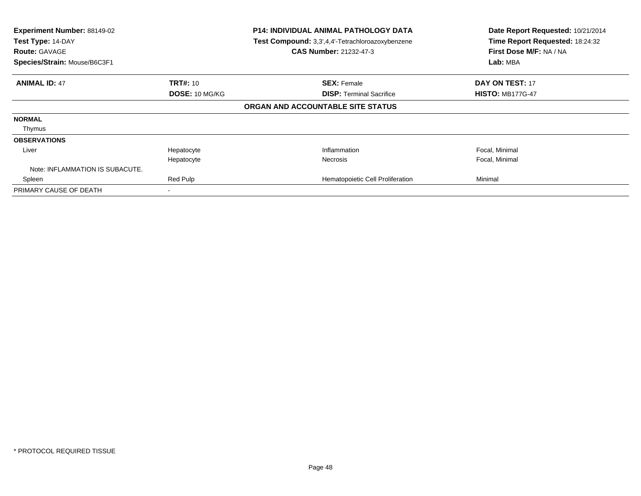| Experiment Number: 88149-02<br>Test Type: 14-DAY<br><b>Route: GAVAGE</b><br>Species/Strain: Mouse/B6C3F1 | <b>P14: INDIVIDUAL ANIMAL PATHOLOGY DATA</b><br>Test Compound: 3,3',4,4'-Tetrachloroazoxybenzene<br><b>CAS Number: 21232-47-3</b> |                                   | Date Report Requested: 10/21/2014<br>Time Report Requested: 18:24:32<br>First Dose M/F: NA / NA<br>Lab: MBA |
|----------------------------------------------------------------------------------------------------------|-----------------------------------------------------------------------------------------------------------------------------------|-----------------------------------|-------------------------------------------------------------------------------------------------------------|
|                                                                                                          |                                                                                                                                   |                                   |                                                                                                             |
| <b>ANIMAL ID: 47</b>                                                                                     | <b>TRT#: 10</b>                                                                                                                   | <b>SEX: Female</b>                | <b>DAY ON TEST: 17</b>                                                                                      |
|                                                                                                          | DOSE: 10 MG/KG                                                                                                                    | <b>DISP:</b> Terminal Sacrifice   | <b>HISTO: MB177G-47</b>                                                                                     |
|                                                                                                          |                                                                                                                                   | ORGAN AND ACCOUNTABLE SITE STATUS |                                                                                                             |
| <b>NORMAL</b>                                                                                            |                                                                                                                                   |                                   |                                                                                                             |
| Thymus                                                                                                   |                                                                                                                                   |                                   |                                                                                                             |
| <b>OBSERVATIONS</b>                                                                                      |                                                                                                                                   |                                   |                                                                                                             |
| Liver                                                                                                    | Hepatocyte                                                                                                                        | Inflammation                      | Focal, Minimal                                                                                              |
|                                                                                                          | Hepatocyte                                                                                                                        | <b>Necrosis</b>                   | Focal, Minimal                                                                                              |
| Note: INFLAMMATION IS SUBACUTE.                                                                          |                                                                                                                                   |                                   |                                                                                                             |
| Spleen                                                                                                   | Red Pulp                                                                                                                          | Hematopoietic Cell Proliferation  | Minimal                                                                                                     |
| PRIMARY CAUSE OF DEATH                                                                                   |                                                                                                                                   |                                   |                                                                                                             |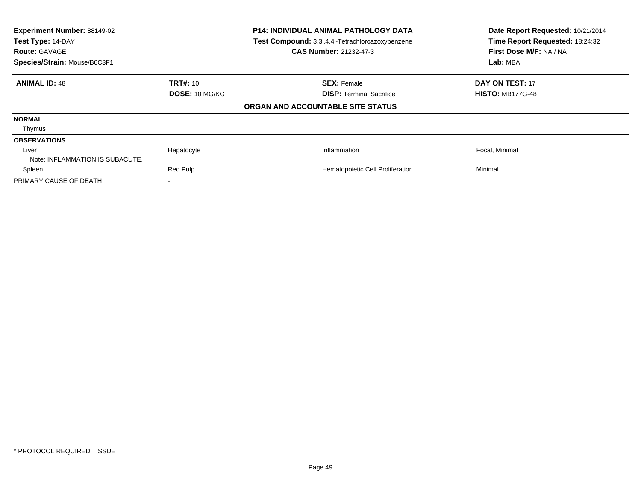| Experiment Number: 88149-02<br>Test Type: 14-DAY<br><b>Route: GAVAGE</b><br>Species/Strain: Mouse/B6C3F1 |                 | <b>P14: INDIVIDUAL ANIMAL PATHOLOGY DATA</b><br>Test Compound: 3,3',4,4'-Tetrachloroazoxybenzene<br><b>CAS Number: 21232-47-3</b> | Date Report Requested: 10/21/2014<br>Time Report Requested: 18:24:32<br>First Dose M/F: NA / NA<br>Lab: MBA |
|----------------------------------------------------------------------------------------------------------|-----------------|-----------------------------------------------------------------------------------------------------------------------------------|-------------------------------------------------------------------------------------------------------------|
| <b>ANIMAL ID: 48</b>                                                                                     | <b>TRT#: 10</b> | <b>SEX: Female</b>                                                                                                                | <b>DAY ON TEST: 17</b>                                                                                      |
|                                                                                                          | DOSE: 10 MG/KG  | <b>DISP:</b> Terminal Sacrifice                                                                                                   | <b>HISTO: MB177G-48</b>                                                                                     |
|                                                                                                          |                 | ORGAN AND ACCOUNTABLE SITE STATUS                                                                                                 |                                                                                                             |
| <b>NORMAL</b>                                                                                            |                 |                                                                                                                                   |                                                                                                             |
| Thymus                                                                                                   |                 |                                                                                                                                   |                                                                                                             |
| <b>OBSERVATIONS</b>                                                                                      |                 |                                                                                                                                   |                                                                                                             |
| Liver                                                                                                    | Hepatocyte      | Inflammation                                                                                                                      | Focal, Minimal                                                                                              |
| Note: INFLAMMATION IS SUBACUTE.                                                                          |                 |                                                                                                                                   |                                                                                                             |
| Spleen                                                                                                   | Red Pulp        | Hematopoietic Cell Proliferation                                                                                                  | Minimal                                                                                                     |
| PRIMARY CAUSE OF DEATH                                                                                   |                 |                                                                                                                                   |                                                                                                             |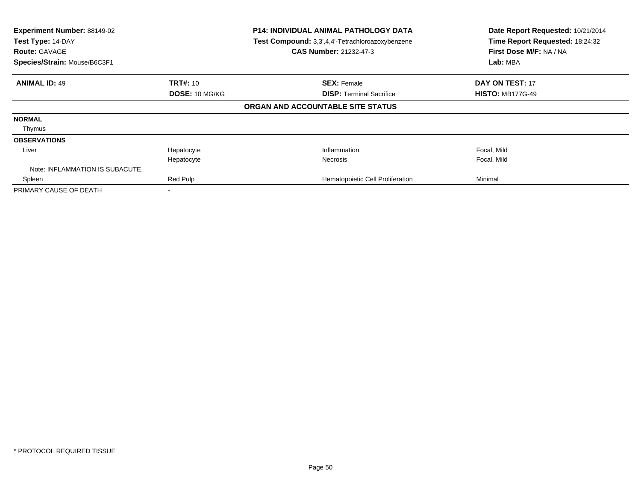| Experiment Number: 88149-02<br>Test Type: 14-DAY<br><b>Route: GAVAGE</b><br>Species/Strain: Mouse/B6C3F1 | <b>P14: INDIVIDUAL ANIMAL PATHOLOGY DATA</b><br>Test Compound: 3,3',4,4'-Tetrachloroazoxybenzene<br><b>CAS Number: 21232-47-3</b> |                                   | Date Report Requested: 10/21/2014<br>Time Report Requested: 18:24:32<br>First Dose M/F: NA / NA<br>Lab: MBA |                         |
|----------------------------------------------------------------------------------------------------------|-----------------------------------------------------------------------------------------------------------------------------------|-----------------------------------|-------------------------------------------------------------------------------------------------------------|-------------------------|
| <b>ANIMAL ID: 49</b>                                                                                     | <b>TRT#: 10</b>                                                                                                                   |                                   | <b>SEX: Female</b>                                                                                          | <b>DAY ON TEST: 17</b>  |
|                                                                                                          | DOSE: 10 MG/KG                                                                                                                    |                                   | <b>DISP:</b> Terminal Sacrifice                                                                             | <b>HISTO: MB177G-49</b> |
|                                                                                                          |                                                                                                                                   | ORGAN AND ACCOUNTABLE SITE STATUS |                                                                                                             |                         |
| <b>NORMAL</b>                                                                                            |                                                                                                                                   |                                   |                                                                                                             |                         |
| Thymus                                                                                                   |                                                                                                                                   |                                   |                                                                                                             |                         |
| <b>OBSERVATIONS</b>                                                                                      |                                                                                                                                   |                                   |                                                                                                             |                         |
| Liver                                                                                                    | Hepatocyte                                                                                                                        |                                   | Inflammation                                                                                                | Focal, Mild             |
|                                                                                                          | Hepatocyte                                                                                                                        |                                   | <b>Necrosis</b>                                                                                             | Focal, Mild             |
| Note: INFLAMMATION IS SUBACUTE.                                                                          |                                                                                                                                   |                                   |                                                                                                             |                         |
| Spleen                                                                                                   | Red Pulp                                                                                                                          |                                   | Hematopoietic Cell Proliferation                                                                            | Minimal                 |
| PRIMARY CAUSE OF DEATH                                                                                   |                                                                                                                                   |                                   |                                                                                                             |                         |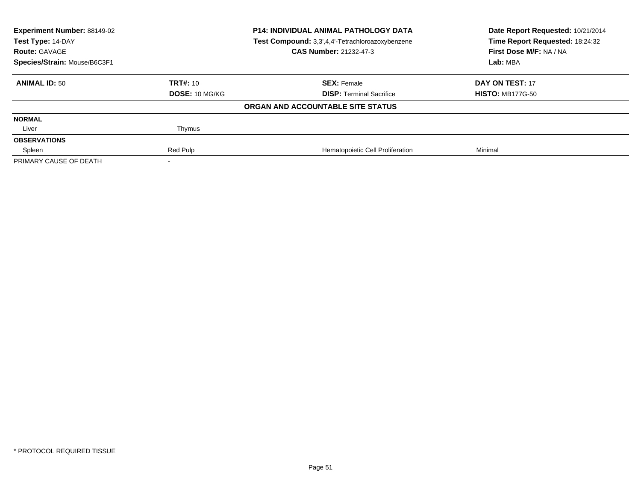| Experiment Number: 88149-02<br>Test Type: 14-DAY<br><b>Route: GAVAGE</b> | <b>P14: INDIVIDUAL ANIMAL PATHOLOGY DATA</b><br>Test Compound: 3,3',4,4'-Tetrachloroazoxybenzene<br><b>CAS Number: 21232-47-3</b> |                                   | Date Report Requested: 10/21/2014<br>Time Report Requested: 18:24:32<br>First Dose M/F: NA / NA |
|--------------------------------------------------------------------------|-----------------------------------------------------------------------------------------------------------------------------------|-----------------------------------|-------------------------------------------------------------------------------------------------|
| Species/Strain: Mouse/B6C3F1                                             |                                                                                                                                   |                                   | Lab: MBA                                                                                        |
| <b>ANIMAL ID: 50</b>                                                     | <b>TRT#: 10</b>                                                                                                                   | <b>SEX: Female</b>                | DAY ON TEST: 17                                                                                 |
|                                                                          | DOSE: 10 MG/KG                                                                                                                    | <b>DISP: Terminal Sacrifice</b>   | <b>HISTO: MB177G-50</b>                                                                         |
|                                                                          |                                                                                                                                   | ORGAN AND ACCOUNTABLE SITE STATUS |                                                                                                 |
| <b>NORMAL</b>                                                            |                                                                                                                                   |                                   |                                                                                                 |
| Liver                                                                    | Thymus                                                                                                                            |                                   |                                                                                                 |
| <b>OBSERVATIONS</b>                                                      |                                                                                                                                   |                                   |                                                                                                 |
| Spleen                                                                   | Red Pulp                                                                                                                          | Hematopoietic Cell Proliferation  | Minimal                                                                                         |
| PRIMARY CAUSE OF DEATH                                                   |                                                                                                                                   |                                   |                                                                                                 |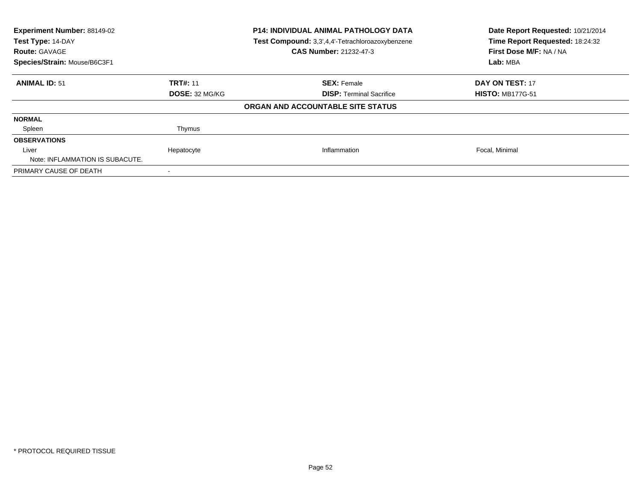| Experiment Number: 88149-02<br>Test Type: 14-DAY<br><b>Route: GAVAGE</b><br>Species/Strain: Mouse/B6C3F1 | <b>P14: INDIVIDUAL ANIMAL PATHOLOGY DATA</b><br>Test Compound: 3,3',4,4'-Tetrachloroazoxybenzene<br><b>CAS Number: 21232-47-3</b> |                                   | Date Report Requested: 10/21/2014<br>Time Report Requested: 18:24:32<br>First Dose M/F: NA / NA<br>Lab: MBA |  |
|----------------------------------------------------------------------------------------------------------|-----------------------------------------------------------------------------------------------------------------------------------|-----------------------------------|-------------------------------------------------------------------------------------------------------------|--|
|                                                                                                          |                                                                                                                                   |                                   |                                                                                                             |  |
| <b>ANIMAL ID: 51</b>                                                                                     | <b>TRT#: 11</b>                                                                                                                   | <b>SEX: Female</b>                | DAY ON TEST: 17                                                                                             |  |
|                                                                                                          | <b>DOSE: 32 MG/KG</b>                                                                                                             | <b>DISP:</b> Terminal Sacrifice   | <b>HISTO: MB177G-51</b>                                                                                     |  |
|                                                                                                          |                                                                                                                                   | ORGAN AND ACCOUNTABLE SITE STATUS |                                                                                                             |  |
| <b>NORMAL</b>                                                                                            |                                                                                                                                   |                                   |                                                                                                             |  |
| Spleen                                                                                                   | Thymus                                                                                                                            |                                   |                                                                                                             |  |
| <b>OBSERVATIONS</b>                                                                                      |                                                                                                                                   |                                   |                                                                                                             |  |
| Liver                                                                                                    | Hepatocyte                                                                                                                        | Inflammation                      | Focal, Minimal                                                                                              |  |
| Note: INFLAMMATION IS SUBACUTE.                                                                          |                                                                                                                                   |                                   |                                                                                                             |  |
| PRIMARY CAUSE OF DEATH                                                                                   |                                                                                                                                   |                                   |                                                                                                             |  |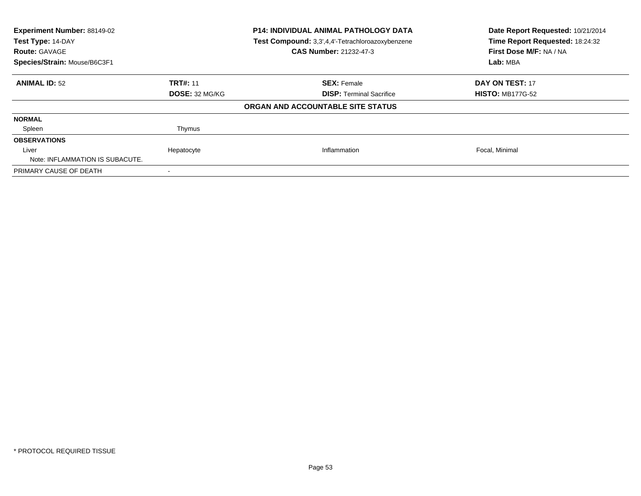| Experiment Number: 88149-02<br>Test Type: 14-DAY<br><b>Route: GAVAGE</b><br>Species/Strain: Mouse/B6C3F1 | <b>P14: INDIVIDUAL ANIMAL PATHOLOGY DATA</b><br>Test Compound: 3,3',4,4'-Tetrachloroazoxybenzene<br><b>CAS Number: 21232-47-3</b> |                                                       | Date Report Requested: 10/21/2014<br>Time Report Requested: 18:24:32<br>First Dose M/F: NA / NA<br>Lab: MBA |  |
|----------------------------------------------------------------------------------------------------------|-----------------------------------------------------------------------------------------------------------------------------------|-------------------------------------------------------|-------------------------------------------------------------------------------------------------------------|--|
|                                                                                                          |                                                                                                                                   |                                                       |                                                                                                             |  |
| <b>ANIMAL ID: 52</b>                                                                                     | <b>TRT#: 11</b><br><b>DOSE: 32 MG/KG</b>                                                                                          | <b>SEX: Female</b><br><b>DISP:</b> Terminal Sacrifice | DAY ON TEST: 17<br><b>HISTO: MB177G-52</b>                                                                  |  |
|                                                                                                          |                                                                                                                                   |                                                       |                                                                                                             |  |
|                                                                                                          |                                                                                                                                   | ORGAN AND ACCOUNTABLE SITE STATUS                     |                                                                                                             |  |
| <b>NORMAL</b>                                                                                            |                                                                                                                                   |                                                       |                                                                                                             |  |
| Spleen                                                                                                   | Thymus                                                                                                                            |                                                       |                                                                                                             |  |
| <b>OBSERVATIONS</b>                                                                                      |                                                                                                                                   |                                                       |                                                                                                             |  |
| Liver                                                                                                    | Hepatocyte                                                                                                                        | Inflammation                                          | Focal, Minimal                                                                                              |  |
| Note: INFLAMMATION IS SUBACUTE.                                                                          |                                                                                                                                   |                                                       |                                                                                                             |  |
| PRIMARY CAUSE OF DEATH                                                                                   |                                                                                                                                   |                                                       |                                                                                                             |  |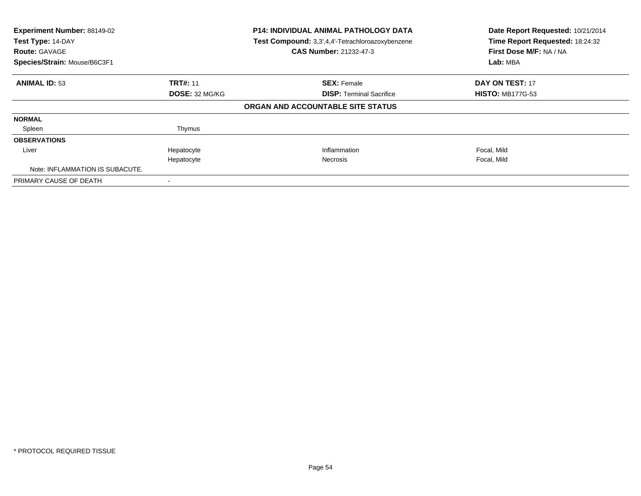| Experiment Number: 88149-02<br>Test Type: 14-DAY<br><b>Route: GAVAGE</b><br>Species/Strain: Mouse/B6C3F1 | <b>P14: INDIVIDUAL ANIMAL PATHOLOGY DATA</b><br>Test Compound: 3,3',4,4'-Tetrachloroazoxybenzene<br><b>CAS Number: 21232-47-3</b> |                                   | Date Report Requested: 10/21/2014<br>Time Report Requested: 18:24:32<br>First Dose M/F: NA / NA<br>Lab: MBA |
|----------------------------------------------------------------------------------------------------------|-----------------------------------------------------------------------------------------------------------------------------------|-----------------------------------|-------------------------------------------------------------------------------------------------------------|
|                                                                                                          |                                                                                                                                   |                                   |                                                                                                             |
| <b>ANIMAL ID: 53</b>                                                                                     | <b>TRT#: 11</b>                                                                                                                   | <b>SEX: Female</b>                | DAY ON TEST: 17                                                                                             |
|                                                                                                          | <b>DOSE: 32 MG/KG</b>                                                                                                             | <b>DISP:</b> Terminal Sacrifice   | <b>HISTO: MB177G-53</b>                                                                                     |
|                                                                                                          |                                                                                                                                   | ORGAN AND ACCOUNTABLE SITE STATUS |                                                                                                             |
| <b>NORMAL</b>                                                                                            |                                                                                                                                   |                                   |                                                                                                             |
| Spleen                                                                                                   | Thymus                                                                                                                            |                                   |                                                                                                             |
| <b>OBSERVATIONS</b>                                                                                      |                                                                                                                                   |                                   |                                                                                                             |
| Liver                                                                                                    | Hepatocyte                                                                                                                        | Inflammation                      | Focal, Mild                                                                                                 |
|                                                                                                          | Hepatocyte                                                                                                                        | <b>Necrosis</b>                   | Focal, Mild                                                                                                 |
| Note: INFLAMMATION IS SUBACUTE.                                                                          |                                                                                                                                   |                                   |                                                                                                             |
| PRIMARY CAUSE OF DEATH                                                                                   |                                                                                                                                   |                                   |                                                                                                             |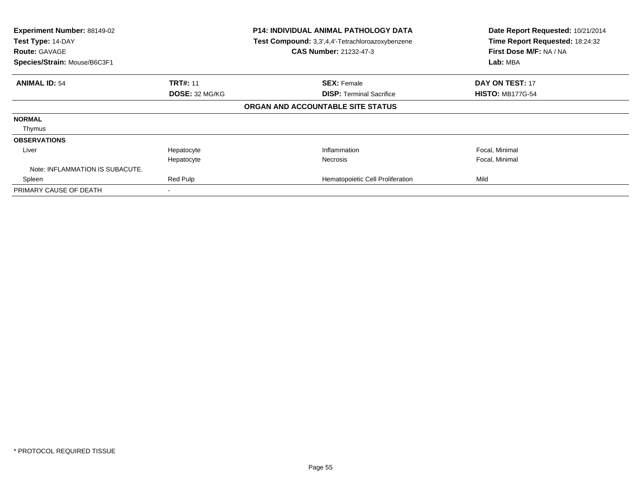| Experiment Number: 88149-02<br>Test Type: 14-DAY<br><b>Route: GAVAGE</b><br>Species/Strain: Mouse/B6C3F1 | <b>P14: INDIVIDUAL ANIMAL PATHOLOGY DATA</b><br>Test Compound: 3,3',4,4'-Tetrachloroazoxybenzene<br>CAS Number: 21232-47-3 |                                   | Date Report Requested: 10/21/2014<br>Time Report Requested: 18:24:32<br>First Dose M/F: NA / NA<br>Lab: MBA |                         |
|----------------------------------------------------------------------------------------------------------|----------------------------------------------------------------------------------------------------------------------------|-----------------------------------|-------------------------------------------------------------------------------------------------------------|-------------------------|
| <b>ANIMAL ID: 54</b>                                                                                     | <b>TRT#: 11</b>                                                                                                            |                                   | <b>SEX: Female</b>                                                                                          | DAY ON TEST: 17         |
|                                                                                                          | DOSE: 32 MG/KG                                                                                                             | ORGAN AND ACCOUNTABLE SITE STATUS | <b>DISP: Terminal Sacrifice</b>                                                                             | <b>HISTO: MB177G-54</b> |
| <b>NORMAL</b>                                                                                            |                                                                                                                            |                                   |                                                                                                             |                         |
| Thymus                                                                                                   |                                                                                                                            |                                   |                                                                                                             |                         |
| <b>OBSERVATIONS</b>                                                                                      |                                                                                                                            |                                   |                                                                                                             |                         |
| Liver                                                                                                    | Hepatocyte                                                                                                                 |                                   | Inflammation                                                                                                | Focal, Minimal          |
|                                                                                                          | Hepatocyte                                                                                                                 |                                   | <b>Necrosis</b>                                                                                             | Focal, Minimal          |
| Note: INFLAMMATION IS SUBACUTE.                                                                          |                                                                                                                            |                                   |                                                                                                             |                         |
| Spleen                                                                                                   | Red Pulp                                                                                                                   |                                   | Hematopoietic Cell Proliferation                                                                            | Mild                    |
| PRIMARY CAUSE OF DEATH                                                                                   |                                                                                                                            |                                   |                                                                                                             |                         |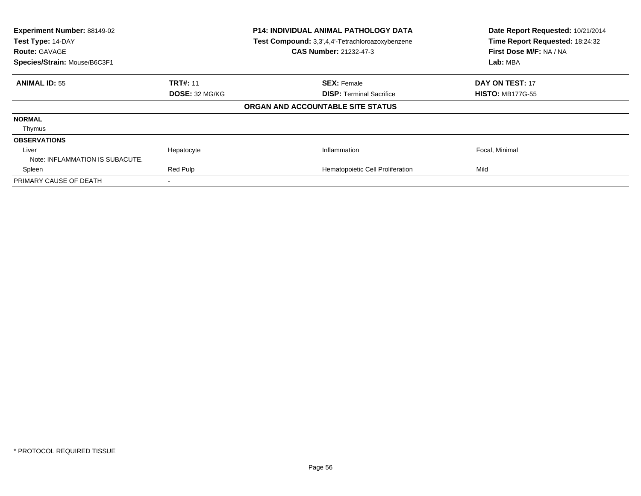| Experiment Number: 88149-02<br>Test Type: 14-DAY<br><b>Route: GAVAGE</b><br>Species/Strain: Mouse/B6C3F1 |                       | <b>P14: INDIVIDUAL ANIMAL PATHOLOGY DATA</b><br>Test Compound: 3,3',4,4'-Tetrachloroazoxybenzene<br><b>CAS Number: 21232-47-3</b> | Date Report Requested: 10/21/2014<br>Time Report Requested: 18:24:32<br>First Dose M/F: NA / NA<br>Lab: MBA |
|----------------------------------------------------------------------------------------------------------|-----------------------|-----------------------------------------------------------------------------------------------------------------------------------|-------------------------------------------------------------------------------------------------------------|
| <b>ANIMAL ID: 55</b>                                                                                     | <b>TRT#: 11</b>       | <b>SEX: Female</b>                                                                                                                | <b>DAY ON TEST: 17</b>                                                                                      |
|                                                                                                          | <b>DOSE: 32 MG/KG</b> | <b>DISP:</b> Terminal Sacrifice                                                                                                   | <b>HISTO: MB177G-55</b>                                                                                     |
|                                                                                                          |                       | ORGAN AND ACCOUNTABLE SITE STATUS                                                                                                 |                                                                                                             |
| <b>NORMAL</b>                                                                                            |                       |                                                                                                                                   |                                                                                                             |
| Thymus                                                                                                   |                       |                                                                                                                                   |                                                                                                             |
| <b>OBSERVATIONS</b>                                                                                      |                       |                                                                                                                                   |                                                                                                             |
| Liver                                                                                                    | Hepatocyte            | Inflammation                                                                                                                      | Focal, Minimal                                                                                              |
| Note: INFLAMMATION IS SUBACUTE.                                                                          |                       |                                                                                                                                   |                                                                                                             |
| Spleen                                                                                                   | Red Pulp              | Hematopoietic Cell Proliferation                                                                                                  | Mild                                                                                                        |
| PRIMARY CAUSE OF DEATH                                                                                   |                       |                                                                                                                                   |                                                                                                             |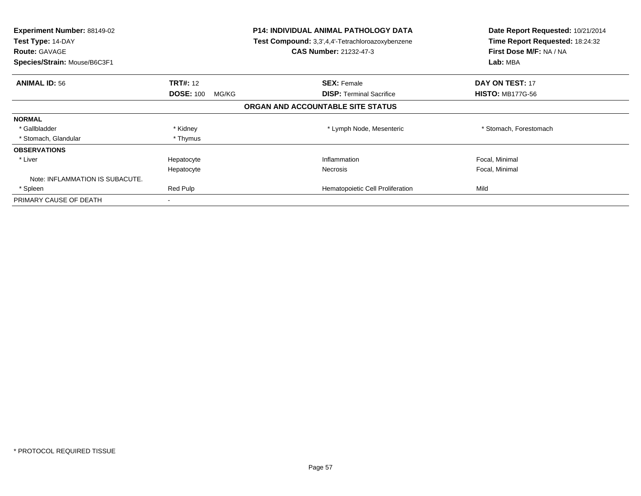| <b>Experiment Number: 88149-02</b><br>Test Type: 14-DAY<br><b>Route: GAVAGE</b><br>Species/Strain: Mouse/B6C3F1 |                           | <b>P14: INDIVIDUAL ANIMAL PATHOLOGY DATA</b><br>Test Compound: 3,3',4,4'-Tetrachloroazoxybenzene<br><b>CAS Number: 21232-47-3</b> | Date Report Requested: 10/21/2014<br>Time Report Requested: 18:24:32<br>First Dose M/F: NA / NA<br>Lab: MBA |
|-----------------------------------------------------------------------------------------------------------------|---------------------------|-----------------------------------------------------------------------------------------------------------------------------------|-------------------------------------------------------------------------------------------------------------|
| <b>ANIMAL ID: 56</b>                                                                                            | <b>TRT#: 12</b>           | <b>SEX: Female</b>                                                                                                                | <b>DAY ON TEST: 17</b>                                                                                      |
|                                                                                                                 | <b>DOSE: 100</b><br>MG/KG | <b>DISP:</b> Terminal Sacrifice                                                                                                   | <b>HISTO: MB177G-56</b>                                                                                     |
|                                                                                                                 |                           | ORGAN AND ACCOUNTABLE SITE STATUS                                                                                                 |                                                                                                             |
| <b>NORMAL</b>                                                                                                   |                           |                                                                                                                                   |                                                                                                             |
| * Gallbladder                                                                                                   | * Kidney                  | * Lymph Node, Mesenteric                                                                                                          | * Stomach, Forestomach                                                                                      |
| * Stomach, Glandular                                                                                            | * Thymus                  |                                                                                                                                   |                                                                                                             |
| <b>OBSERVATIONS</b>                                                                                             |                           |                                                                                                                                   |                                                                                                             |
| * Liver                                                                                                         | Hepatocyte                | Inflammation                                                                                                                      | Focal, Minimal                                                                                              |
|                                                                                                                 | Hepatocyte                | Necrosis                                                                                                                          | Focal, Minimal                                                                                              |
| Note: INFLAMMATION IS SUBACUTE.                                                                                 |                           |                                                                                                                                   |                                                                                                             |
| * Spleen                                                                                                        | Red Pulp                  | Hematopoietic Cell Proliferation                                                                                                  | Mild                                                                                                        |
| PRIMARY CAUSE OF DEATH                                                                                          | $\overline{\phantom{a}}$  |                                                                                                                                   |                                                                                                             |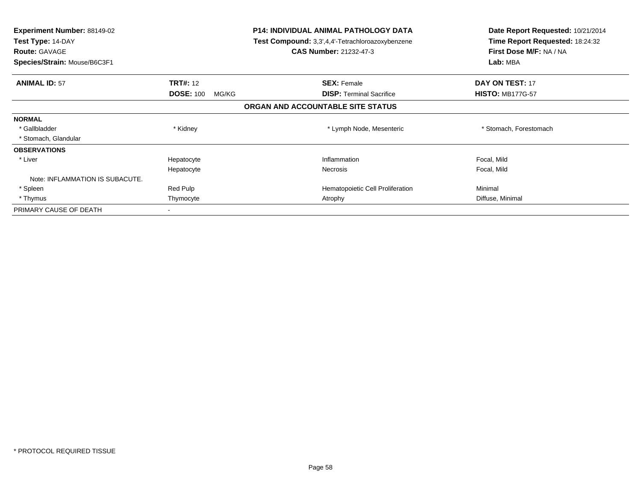| <b>Experiment Number: 88149-02</b><br>Test Type: 14-DAY<br><b>Route: GAVAGE</b><br>Species/Strain: Mouse/B6C3F1 |                           | <b>P14: INDIVIDUAL ANIMAL PATHOLOGY DATA</b><br>Test Compound: 3,3',4,4'-Tetrachloroazoxybenzene<br><b>CAS Number: 21232-47-3</b> | Date Report Requested: 10/21/2014<br>Time Report Requested: 18:24:32<br>First Dose M/F: NA / NA<br>Lab: MBA |
|-----------------------------------------------------------------------------------------------------------------|---------------------------|-----------------------------------------------------------------------------------------------------------------------------------|-------------------------------------------------------------------------------------------------------------|
| <b>ANIMAL ID: 57</b>                                                                                            | <b>TRT#: 12</b>           | <b>SEX: Female</b>                                                                                                                | DAY ON TEST: 17                                                                                             |
|                                                                                                                 | <b>DOSE: 100</b><br>MG/KG | <b>DISP:</b> Terminal Sacrifice                                                                                                   | <b>HISTO: MB177G-57</b>                                                                                     |
|                                                                                                                 |                           | ORGAN AND ACCOUNTABLE SITE STATUS                                                                                                 |                                                                                                             |
| <b>NORMAL</b>                                                                                                   |                           |                                                                                                                                   |                                                                                                             |
| * Gallbladder                                                                                                   | * Kidney                  | * Lymph Node, Mesenteric                                                                                                          | * Stomach, Forestomach                                                                                      |
| * Stomach, Glandular                                                                                            |                           |                                                                                                                                   |                                                                                                             |
| <b>OBSERVATIONS</b>                                                                                             |                           |                                                                                                                                   |                                                                                                             |
| * Liver                                                                                                         | Hepatocyte                | Inflammation                                                                                                                      | Focal, Mild                                                                                                 |
|                                                                                                                 | Hepatocyte                | <b>Necrosis</b>                                                                                                                   | Focal, Mild                                                                                                 |
| Note: INFLAMMATION IS SUBACUTE.                                                                                 |                           |                                                                                                                                   |                                                                                                             |
| * Spleen                                                                                                        | Red Pulp                  | Hematopoietic Cell Proliferation                                                                                                  | Minimal                                                                                                     |
| * Thymus                                                                                                        | Thymocyte                 | Atrophy                                                                                                                           | Diffuse, Minimal                                                                                            |
| PRIMARY CAUSE OF DEATH                                                                                          |                           |                                                                                                                                   |                                                                                                             |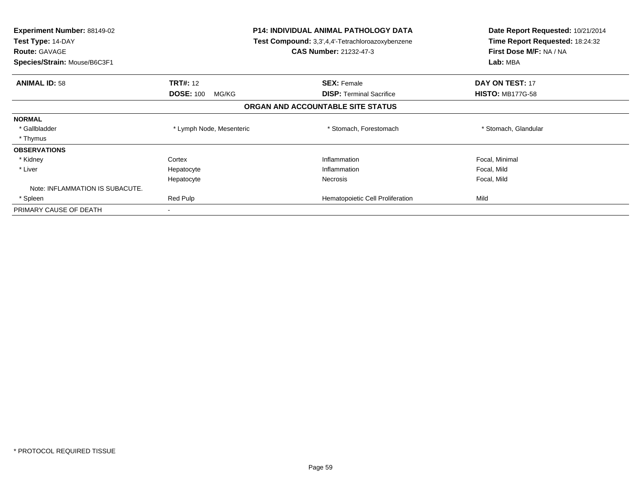| <b>Experiment Number: 88149-02</b><br>Test Type: 14-DAY<br><b>Route: GAVAGE</b><br>Species/Strain: Mouse/B6C3F1 | <b>P14: INDIVIDUAL ANIMAL PATHOLOGY DATA</b><br>Test Compound: 3,3',4,4'-Tetrachloroazoxybenzene<br><b>CAS Number: 21232-47-3</b> |                                   | Date Report Requested: 10/21/2014<br>Time Report Requested: 18:24:32<br>First Dose M/F: NA / NA<br>Lab: MBA |
|-----------------------------------------------------------------------------------------------------------------|-----------------------------------------------------------------------------------------------------------------------------------|-----------------------------------|-------------------------------------------------------------------------------------------------------------|
| <b>ANIMAL ID: 58</b>                                                                                            | <b>TRT#: 12</b>                                                                                                                   | <b>SEX: Female</b>                | <b>DAY ON TEST: 17</b>                                                                                      |
|                                                                                                                 | <b>DOSE: 100</b><br>MG/KG                                                                                                         | <b>DISP:</b> Terminal Sacrifice   | <b>HISTO: MB177G-58</b>                                                                                     |
|                                                                                                                 |                                                                                                                                   | ORGAN AND ACCOUNTABLE SITE STATUS |                                                                                                             |
| <b>NORMAL</b>                                                                                                   |                                                                                                                                   |                                   |                                                                                                             |
| * Gallbladder                                                                                                   | * Lymph Node, Mesenteric                                                                                                          | * Stomach, Forestomach            | * Stomach, Glandular                                                                                        |
| * Thymus                                                                                                        |                                                                                                                                   |                                   |                                                                                                             |
| <b>OBSERVATIONS</b>                                                                                             |                                                                                                                                   |                                   |                                                                                                             |
| * Kidney                                                                                                        | Cortex                                                                                                                            | Inflammation                      | Focal, Minimal                                                                                              |
| * Liver                                                                                                         | Hepatocyte                                                                                                                        | Inflammation                      | Focal, Mild                                                                                                 |
|                                                                                                                 | Hepatocyte                                                                                                                        | Necrosis                          | Focal, Mild                                                                                                 |
| Note: INFLAMMATION IS SUBACUTE.                                                                                 |                                                                                                                                   |                                   |                                                                                                             |
| * Spleen                                                                                                        | Red Pulp                                                                                                                          | Hematopoietic Cell Proliferation  | Mild                                                                                                        |
| PRIMARY CAUSE OF DEATH                                                                                          |                                                                                                                                   |                                   |                                                                                                             |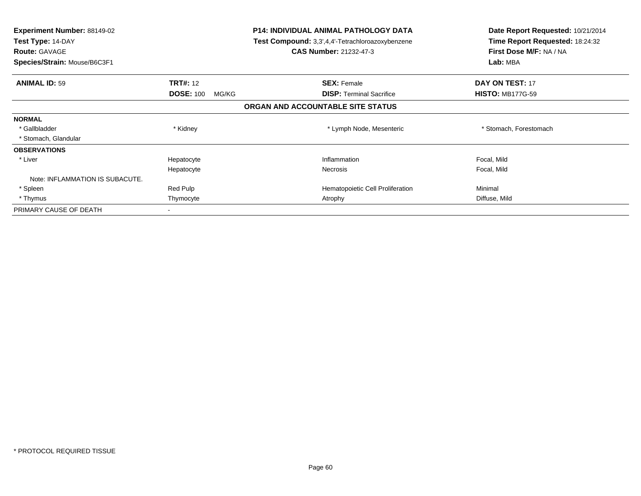| <b>Experiment Number: 88149-02</b><br>Test Type: 14-DAY<br><b>Route: GAVAGE</b><br>Species/Strain: Mouse/B6C3F1 |                           | <b>P14: INDIVIDUAL ANIMAL PATHOLOGY DATA</b><br>Test Compound: 3,3',4,4'-Tetrachloroazoxybenzene<br><b>CAS Number: 21232-47-3</b> | Date Report Requested: 10/21/2014<br>Time Report Requested: 18:24:32<br>First Dose M/F: NA / NA<br>Lab: MBA |
|-----------------------------------------------------------------------------------------------------------------|---------------------------|-----------------------------------------------------------------------------------------------------------------------------------|-------------------------------------------------------------------------------------------------------------|
| <b>ANIMAL ID: 59</b>                                                                                            | <b>TRT#: 12</b>           | <b>SEX: Female</b>                                                                                                                | DAY ON TEST: 17                                                                                             |
|                                                                                                                 | <b>DOSE: 100</b><br>MG/KG | <b>DISP:</b> Terminal Sacrifice                                                                                                   | <b>HISTO: MB177G-59</b>                                                                                     |
|                                                                                                                 |                           | ORGAN AND ACCOUNTABLE SITE STATUS                                                                                                 |                                                                                                             |
| <b>NORMAL</b>                                                                                                   |                           |                                                                                                                                   |                                                                                                             |
| * Gallbladder                                                                                                   | * Kidney                  | * Lymph Node, Mesenteric                                                                                                          | * Stomach, Forestomach                                                                                      |
| * Stomach, Glandular                                                                                            |                           |                                                                                                                                   |                                                                                                             |
| <b>OBSERVATIONS</b>                                                                                             |                           |                                                                                                                                   |                                                                                                             |
| * Liver                                                                                                         | Hepatocyte                | Inflammation                                                                                                                      | Focal, Mild                                                                                                 |
|                                                                                                                 | Hepatocyte                | <b>Necrosis</b>                                                                                                                   | Focal, Mild                                                                                                 |
| Note: INFLAMMATION IS SUBACUTE.                                                                                 |                           |                                                                                                                                   |                                                                                                             |
| * Spleen                                                                                                        | Red Pulp                  | Hematopoietic Cell Proliferation                                                                                                  | Minimal                                                                                                     |
| * Thymus                                                                                                        | Thymocyte                 | Atrophy                                                                                                                           | Diffuse, Mild                                                                                               |
| PRIMARY CAUSE OF DEATH                                                                                          |                           |                                                                                                                                   |                                                                                                             |